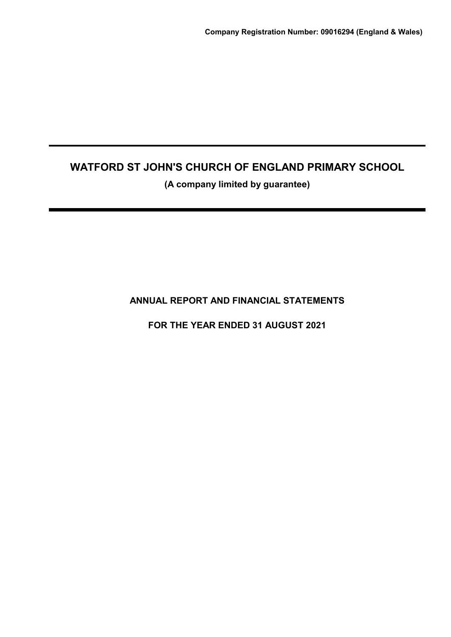**(A company limited by guarantee)**

**ANNUAL REPORT AND FINANCIAL STATEMENTS**

**FOR THE YEAR ENDED 31 AUGUST 2021**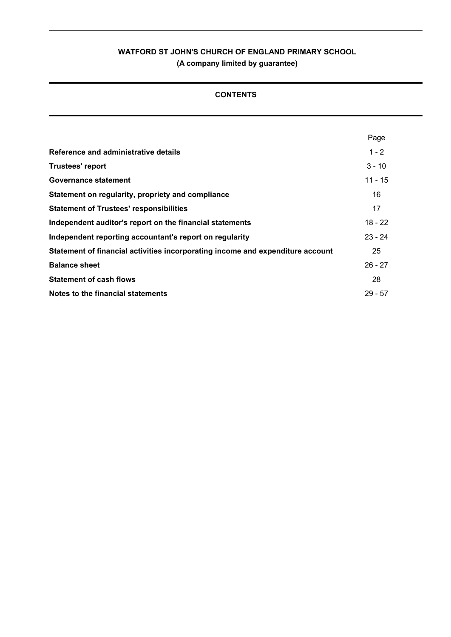## **CONTENTS**

|                                                                                | Page      |
|--------------------------------------------------------------------------------|-----------|
| Reference and administrative details                                           | $1 - 2$   |
| <b>Trustees' report</b>                                                        | $3 - 10$  |
| Governance statement                                                           | $11 - 15$ |
| Statement on regularity, propriety and compliance                              | 16        |
| <b>Statement of Trustees' responsibilities</b>                                 | 17        |
| Independent auditor's report on the financial statements                       | $18 - 22$ |
| Independent reporting accountant's report on regularity                        | $23 - 24$ |
| Statement of financial activities incorporating income and expenditure account | 25        |
| <b>Balance sheet</b>                                                           | $26 - 27$ |
| <b>Statement of cash flows</b>                                                 | 28        |
| Notes to the financial statements                                              | $29 - 57$ |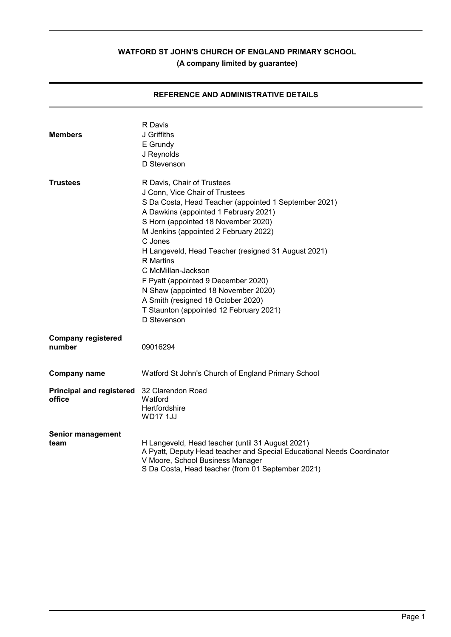| <b>Members</b>                            | R Davis<br>J Griffiths<br>E Grundy<br>J Reynolds<br>D Stevenson                                                                                                                                                                                                                                                                                                                                                                                                                                                                          |
|-------------------------------------------|------------------------------------------------------------------------------------------------------------------------------------------------------------------------------------------------------------------------------------------------------------------------------------------------------------------------------------------------------------------------------------------------------------------------------------------------------------------------------------------------------------------------------------------|
| <b>Trustees</b>                           | R Davis, Chair of Trustees<br>J Conn, Vice Chair of Trustees<br>S Da Costa, Head Teacher (appointed 1 September 2021)<br>A Dawkins (appointed 1 February 2021)<br>S Horn (appointed 18 November 2020)<br>M Jenkins (appointed 2 February 2022)<br>C Jones<br>H Langeveld, Head Teacher (resigned 31 August 2021)<br><b>R</b> Martins<br>C McMillan-Jackson<br>F Pyatt (appointed 9 December 2020)<br>N Shaw (appointed 18 November 2020)<br>A Smith (resigned 18 October 2020)<br>T Staunton (appointed 12 February 2021)<br>D Stevenson |
| <b>Company registered</b><br>number       | 09016294                                                                                                                                                                                                                                                                                                                                                                                                                                                                                                                                 |
| <b>Company name</b>                       | Watford St John's Church of England Primary School                                                                                                                                                                                                                                                                                                                                                                                                                                                                                       |
| <b>Principal and registered</b><br>office | 32 Clarendon Road<br>Watford<br>Hertfordshire<br><b>WD171JJ</b>                                                                                                                                                                                                                                                                                                                                                                                                                                                                          |
| <b>Senior management</b><br>team          | H Langeveld, Head teacher (until 31 August 2021)<br>A Pyatt, Deputy Head teacher and Special Educational Needs Coordinator<br>V Moore, School Business Manager<br>S Da Costa, Head teacher (from 01 September 2021)                                                                                                                                                                                                                                                                                                                      |

## **REFERENCE AND ADMINISTRATIVE DETAILS**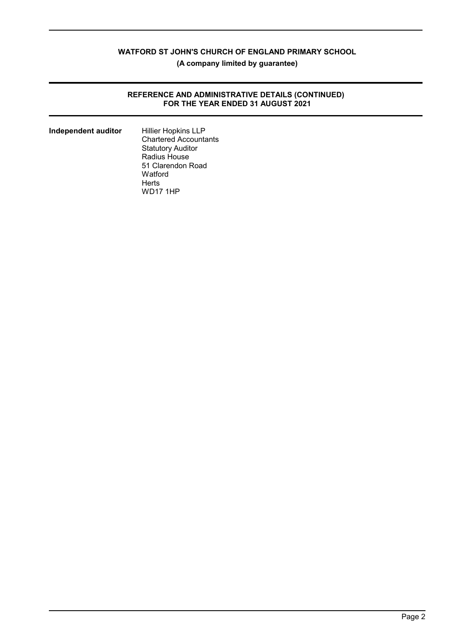## **(A company limited by guarantee)**

#### **REFERENCE AND ADMINISTRATIVE DETAILS (CONTINUED) FOR THE YEAR ENDED 31 AUGUST 2021**

## **Independent auditor** Hillier Hopkins LLP

Chartered Accountants Statutory Auditor Radius House 51 Clarendon Road Watford **Herts** WD17 1HP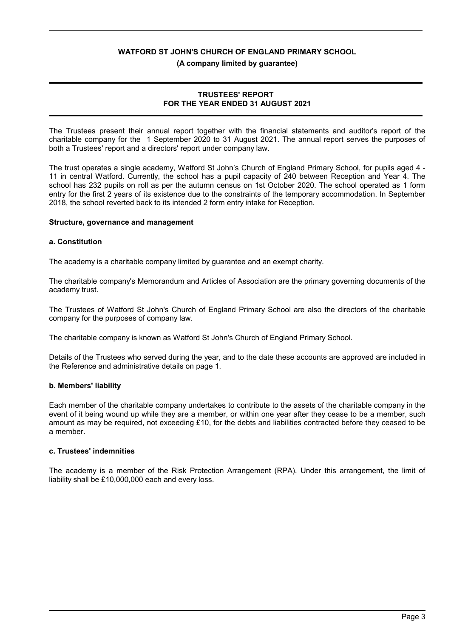#### **(A company limited by guarantee)**

#### **TRUSTEES' REPORT FOR THE YEAR ENDED 31 AUGUST 2021**

The Trustees present their annual report together with the financial statements and auditor's report of the charitable company for the 1 September 2020 to 31 August 2021. The annual report serves the purposes of both a Trustees' report and a directors' report under company law.

The trust operates a single academy, Watford St John's Church of England Primary School, for pupils aged 4 - 11 in central Watford. Currently, the school has a pupil capacity of 240 between Reception and Year 4. The school has 232 pupils on roll as per the autumn census on 1st October 2020. The school operated as 1 form entry for the first 2 years of its existence due to the constraints of the temporary accommodation. In September 2018, the school reverted back to its intended 2 form entry intake for Reception.

#### **Structure, governance and management**

#### **a. Constitution**

The academy is a charitable company limited by guarantee and an exempt charity.

The charitable company's Memorandum and Articles of Association are the primary governing documents of the academy trust.

The Trustees of Watford St John's Church of England Primary School are also the directors of the charitable company for the purposes of company law.

The charitable company is known as Watford St John's Church of England Primary School.

Details of the Trustees who served during the year, and to the date these accounts are approved are included in the Reference and administrative details on page 1.

#### **b. Members' liability**

Each member of the charitable company undertakes to contribute to the assets of the charitable company in the event of it being wound up while they are a member, or within one year after they cease to be a member, such amount as may be required, not exceeding £10, for the debts and liabilities contracted before they ceased to be a member.

#### **c. Trustees' indemnities**

The academy is a member of the Risk Protection Arrangement (RPA). Under this arrangement, the limit of liability shall be £10,000,000 each and every loss.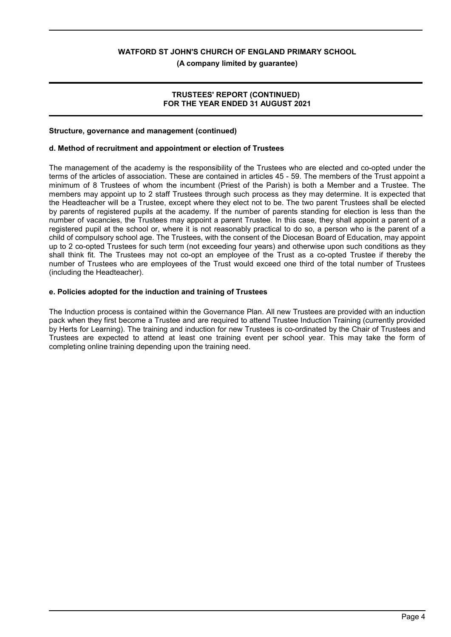**(A company limited by guarantee)**

#### **TRUSTEES' REPORT (CONTINUED) FOR THE YEAR ENDED 31 AUGUST 2021**

#### **Structure, governance and management (continued)**

#### **d. Method of recruitment and appointment or election of Trustees**

The management of the academy is the responsibility of the Trustees who are elected and co-opted under the terms of the articles of association. These are contained in articles 45 - 59. The members of the Trust appoint a minimum of 8 Trustees of whom the incumbent (Priest of the Parish) is both a Member and a Trustee. The members may appoint up to 2 staff Trustees through such process as they may determine. It is expected that the Headteacher will be a Trustee, except where they elect not to be. The two parent Trustees shall be elected by parents of registered pupils at the academy. If the number of parents standing for election is less than the number of vacancies, the Trustees may appoint a parent Trustee. In this case, they shall appoint a parent of a registered pupil at the school or, where it is not reasonably practical to do so, a person who is the parent of a child of compulsory school age. The Trustees, with the consent of the Diocesan Board of Education, may appoint up to 2 co-opted Trustees for such term (not exceeding four years) and otherwise upon such conditions as they shall think fit. The Trustees may not co-opt an employee of the Trust as a co-opted Trustee if thereby the number of Trustees who are employees of the Trust would exceed one third of the total number of Trustees (including the Headteacher).

#### **e. Policies adopted for the induction and training of Trustees**

The Induction process is contained within the Governance Plan. All new Trustees are provided with an induction pack when they first become a Trustee and are required to attend Trustee Induction Training (currently provided by Herts for Learning). The training and induction for new Trustees is co-ordinated by the Chair of Trustees and Trustees are expected to attend at least one training event per school year. This may take the form of completing online training depending upon the training need.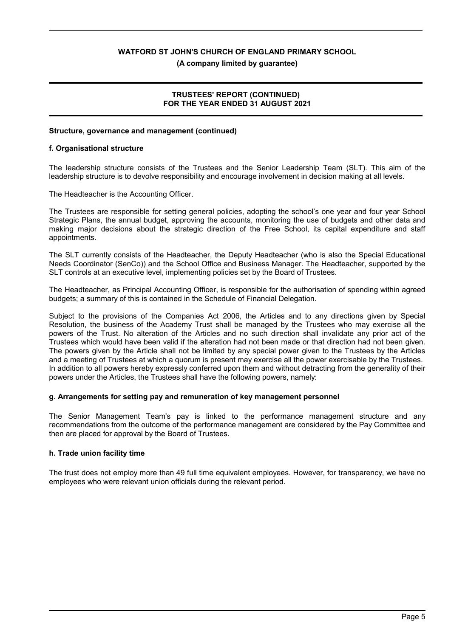**(A company limited by guarantee)**

#### **TRUSTEES' REPORT (CONTINUED) FOR THE YEAR ENDED 31 AUGUST 2021**

#### **Structure, governance and management (continued)**

#### **f. Organisational structure**

The leadership structure consists of the Trustees and the Senior Leadership Team (SLT). This aim of the leadership structure is to devolve responsibility and encourage involvement in decision making at all levels.

The Headteacher is the Accounting Officer.

The Trustees are responsible for setting general policies, adopting the school's one year and four year School Strategic Plans, the annual budget, approving the accounts, monitoring the use of budgets and other data and making major decisions about the strategic direction of the Free School, its capital expenditure and staff appointments.

The SLT currently consists of the Headteacher, the Deputy Headteacher (who is also the Special Educational Needs Coordinator (SenCo)) and the School Office and Business Manager. The Headteacher, supported by the SLT controls at an executive level, implementing policies set by the Board of Trustees.

The Headteacher, as Principal Accounting Officer, is responsible for the authorisation of spending within agreed budgets; a summary of this is contained in the Schedule of Financial Delegation.

Subject to the provisions of the Companies Act 2006, the Articles and to any directions given by Special Resolution, the business of the Academy Trust shall be managed by the Trustees who may exercise all the powers of the Trust. No alteration of the Articles and no such direction shall invalidate any prior act of the Trustees which would have been valid if the alteration had not been made or that direction had not been given. The powers given by the Article shall not be limited by any special power given to the Trustees by the Articles and a meeting of Trustees at which a quorum is present may exercise all the power exercisable by the Trustees. In addition to all powers hereby expressly conferred upon them and without detracting from the generality of their powers under the Articles, the Trustees shall have the following powers, namely:

#### **g. Arrangements for setting pay and remuneration of key management personnel**

The Senior Management Team's pay is linked to the performance management structure and any recommendations from the outcome of the performance management are considered by the Pay Committee and then are placed for approval by the Board of Trustees.

#### **h. Trade union facility time**

The trust does not employ more than 49 full time equivalent employees. However, for transparency, we have no employees who were relevant union officials during the relevant period.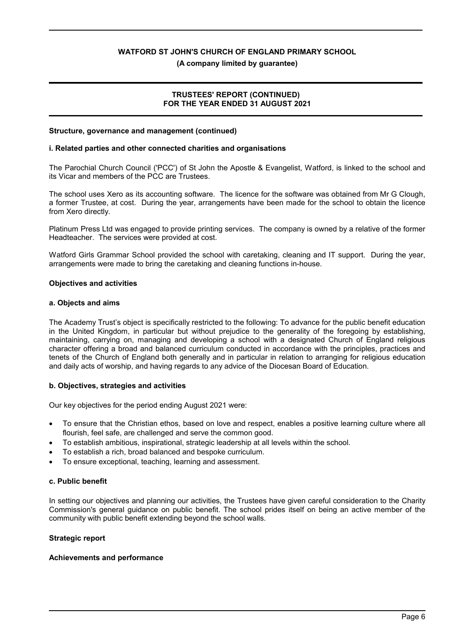**(A company limited by guarantee)**

#### **TRUSTEES' REPORT (CONTINUED) FOR THE YEAR ENDED 31 AUGUST 2021**

#### **Structure, governance and management (continued)**

#### **i. Related parties and other connected charities and organisations**

The Parochial Church Council ('PCC') of St John the Apostle & Evangelist, Watford, is linked to the school and its Vicar and members of the PCC are Trustees.

The school uses Xero as its accounting software. The licence for the software was obtained from Mr G Clough, a former Trustee, at cost. During the year, arrangements have been made for the school to obtain the licence from Xero directly.

Platinum Press Ltd was engaged to provide printing services. The company is owned by a relative of the former Headteacher. The services were provided at cost.

Watford Girls Grammar School provided the school with caretaking, cleaning and IT support. During the year, arrangements were made to bring the caretaking and cleaning functions in-house.

#### **Objectives and activities**

#### **a. Objects and aims**

The Academy Trust's object is specifically restricted to the following: To advance for the public benefit education in the United Kingdom, in particular but without prejudice to the generality of the foregoing by establishing, maintaining, carrying on, managing and developing a school with a designated Church of England religious character offering a broad and balanced curriculum conducted in accordance with the principles, practices and tenets of the Church of England both generally and in particular in relation to arranging for religious education and daily acts of worship, and having regards to any advice of the Diocesan Board of Education.

#### **b. Objectives, strategies and activities**

Our key objectives for the period ending August 2021 were:

- To ensure that the Christian ethos, based on love and respect, enables a positive learning culture where all flourish, feel safe, are challenged and serve the common good.
- To establish ambitious, inspirational, strategic leadership at all levels within the school.
- To establish a rich, broad balanced and bespoke curriculum.
- To ensure exceptional, teaching, learning and assessment.

#### **c. Public benefit**

In setting our objectives and planning our activities, the Trustees have given careful consideration to the Charity Commission's general guidance on public benefit. The school prides itself on being an active member of the community with public benefit extending beyond the school walls.

#### **Strategic report**

#### **Achievements and performance**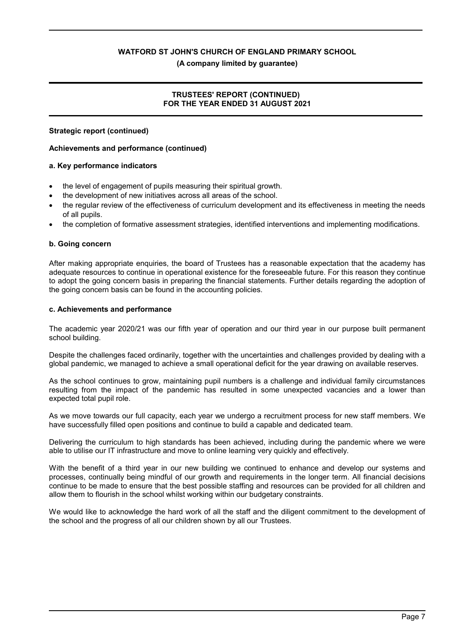#### **(A company limited by guarantee)**

#### **TRUSTEES' REPORT (CONTINUED) FOR THE YEAR ENDED 31 AUGUST 2021**

#### **Strategic report (continued)**

#### **Achievements and performance (continued)**

#### **a. Key performance indicators**

- the level of engagement of pupils measuring their spiritual growth.
- the development of new initiatives across all areas of the school.
- the regular review of the effectiveness of curriculum development and its effectiveness in meeting the needs of all pupils.
- the completion of formative assessment strategies, identified interventions and implementing modifications.

#### **b. Going concern**

After making appropriate enquiries, the board of Trustees has a reasonable expectation that the academy has adequate resources to continue in operational existence for the foreseeable future. For this reason they continue to adopt the going concern basis in preparing the financial statements. Further details regarding the adoption of the going concern basis can be found in the accounting policies.

#### **c. Achievements and performance**

The academic year 2020/21 was our fifth year of operation and our third year in our purpose built permanent school building.

Despite the challenges faced ordinarily, together with the uncertainties and challenges provided by dealing with a global pandemic, we managed to achieve a small operational deficit for the year drawing on available reserves.

As the school continues to grow, maintaining pupil numbers is a challenge and individual family circumstances resulting from the impact of the pandemic has resulted in some unexpected vacancies and a lower than expected total pupil role.

As we move towards our full capacity, each year we undergo a recruitment process for new staff members. We have successfully filled open positions and continue to build a capable and dedicated team.

Delivering the curriculum to high standards has been achieved, including during the pandemic where we were able to utilise our IT infrastructure and move to online learning very quickly and effectively.

With the benefit of a third year in our new building we continued to enhance and develop our systems and processes, continually being mindful of our growth and requirements in the longer term. All financial decisions continue to be made to ensure that the best possible staffing and resources can be provided for all children and allow them to flourish in the school whilst working within our budgetary constraints.

We would like to acknowledge the hard work of all the staff and the diligent commitment to the development of the school and the progress of all our children shown by all our Trustees.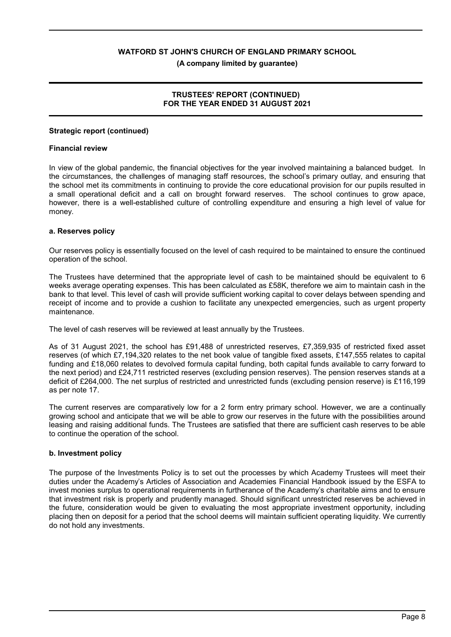#### **TRUSTEES' REPORT (CONTINUED) FOR THE YEAR ENDED 31 AUGUST 2021**

#### **Strategic report (continued)**

#### **Financial review**

In view of the global pandemic, the financial objectives for the year involved maintaining a balanced budget. In the circumstances, the challenges of managing staff resources, the school's primary outlay, and ensuring that the school met its commitments in continuing to provide the core educational provision for our pupils resulted in a small operational deficit and a call on brought forward reserves. The school continues to grow apace, however, there is a well-established culture of controlling expenditure and ensuring a high level of value for money.

#### **a. Reserves policy**

Our reserves policy is essentially focused on the level of cash required to be maintained to ensure the continued operation of the school.

The Trustees have determined that the appropriate level of cash to be maintained should be equivalent to 6 weeks average operating expenses. This has been calculated as £58K, therefore we aim to maintain cash in the bank to that level. This level of cash will provide sufficient working capital to cover delays between spending and receipt of income and to provide a cushion to facilitate any unexpected emergencies, such as urgent property maintenance.

The level of cash reserves will be reviewed at least annually by the Trustees.

As of 31 August 2021, the school has £91,488 of unrestricted reserves, £7,359,935 of restricted fixed asset reserves (of which £7,194,320 relates to the net book value of tangible fixed assets, £147,555 relates to capital funding and £18,060 relates to devolved formula capital funding, both capital funds available to carry forward to the next period) and £24,711 restricted reserves (excluding pension reserves). The pension reserves stands at a deficit of £264,000. The net surplus of restricted and unrestricted funds (excluding pension reserve) is £116,199 as per note 17.

The current reserves are comparatively low for a 2 form entry primary school. However, we are a continually growing school and anticipate that we will be able to grow our reserves in the future with the possibilities around leasing and raising additional funds. The Trustees are satisfied that there are sufficient cash reserves to be able to continue the operation of the school.

#### **b. Investment policy**

The purpose of the Investments Policy is to set out the processes by which Academy Trustees will meet their duties under the Academy's Articles of Association and Academies Financial Handbook issued by the ESFA to invest monies surplus to operational requirements in furtherance of the Academy's charitable aims and to ensure that investment risk is properly and prudently managed. Should significant unrestricted reserves be achieved in the future, consideration would be given to evaluating the most appropriate investment opportunity, including placing then on deposit for a period that the school deems will maintain sufficient operating liquidity. We currently do not hold any investments.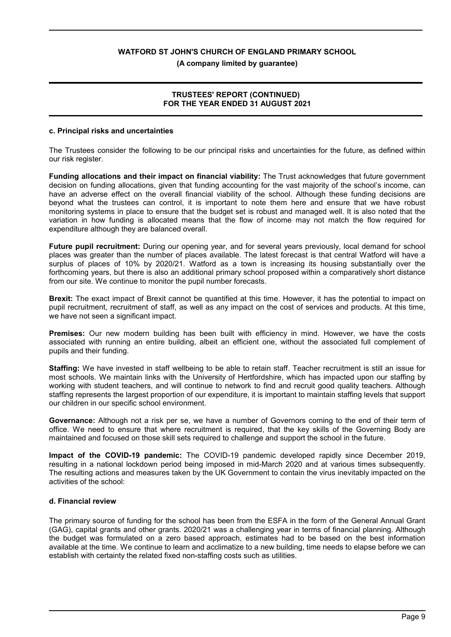**(A company limited by guarantee)**

#### **TRUSTEES' REPORT (CONTINUED) FOR THE YEAR ENDED 31 AUGUST 2021**

#### **c. Principal risks and uncertainties**

The Trustees consider the following to be our principal risks and uncertainties for the future, as defined within our risk register.

**Funding allocations and their impact on financial viability:** The Trust acknowledges that future government decision on funding allocations, given that funding accounting for the vast majority of the school's income, can have an adverse effect on the overall financial viability of the school. Although these funding decisions are beyond what the trustees can control, it is important to note them here and ensure that we have robust monitoring systems in place to ensure that the budget set is robust and managed well. It is also noted that the variation in how funding is allocated means that the flow of income may not match the flow required for expenditure although they are balanced overall.

**Future pupil recruitment:** During our opening year, and for several years previously, local demand for school places was greater than the number of places available. The latest forecast is that central Watford will have a surplus of places of 10% by 2020/21. Watford as a town is increasing its housing substantially over the forthcoming years, but there is also an additional primary school proposed within a comparatively short distance from our site. We continue to monitor the pupil number forecasts.

**Brexit:** The exact impact of Brexit cannot be quantified at this time. However, it has the potential to impact on pupil recruitment, recruitment of staff, as well as any impact on the cost of services and products. At this time, we have not seen a significant impact.

**Premises:** Our new modern building has been built with efficiency in mind. However, we have the costs associated with running an entire building, albeit an efficient one, without the associated full complement of pupils and their funding.

**Staffing:** We have invested in staff wellbeing to be able to retain staff. Teacher recruitment is still an issue for most schools. We maintain links with the University of Hertfordshire, which has impacted upon our staffing by working with student teachers, and will continue to network to find and recruit good quality teachers. Although staffing represents the largest proportion of our expenditure, it is important to maintain staffing levels that support our children in our specific school environment.

**Governance:** Although not a risk per se, we have a number of Governors coming to the end of their term of office. We need to ensure that where recruitment is required, that the key skills of the Governing Body are maintained and focused on those skill sets required to challenge and support the school in the future.

**Impact of the COVID-19 pandemic:** The COVID-19 pandemic developed rapidly since December 2019, resulting in a national lockdown period being imposed in mid-March 2020 and at various times subsequently. The resulting actions and measures taken by the UK Government to contain the virus inevitably impacted on the activities of the school:

#### **d. Financial review**

The primary source of funding for the school has been from the ESFA in the form of the General Annual Grant (GAG), capital grants and other grants. 2020/21 was a challenging year in terms of financial planning. Although the budget was formulated on a zero based approach, estimates had to be based on the best information available at the time. We continue to learn and acclimatize to a new building, time needs to elapse before we can establish with certainty the related fixed non-staffing costs such as utilities.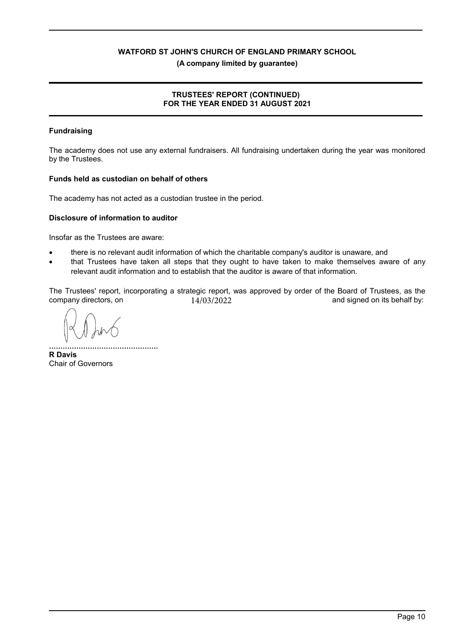**(A company limited by guarantee)**

## **TRUSTEES' REPORT (CONTINUED) FOR THE YEAR ENDED 31 AUGUST 2021**

## **Fundraising**

The academy does not use any external fundraisers. All fundraising undertaken during the year was monitored by the Trustees.

#### **Funds held as custodian on behalf of others**

The academy has not acted as a custodian trustee in the period.

#### **Disclosure of information to auditor**

Insofar as the Trustees are aware:

- there is no relevant audit information of which the charitable company's auditor is unaware, and
- that Trustees have taken all steps that they ought to have taken to make themselves aware of any relevant audit information and to establish that the auditor is aware of that information.

The Trustees' report, incorporating a strategic report, was approved by order of the Board of Trustees, as the company directors, on  $14/03/2022$  and signed on its behalf by: 14/03/2022

................................................ **R Davis** Chair of Governors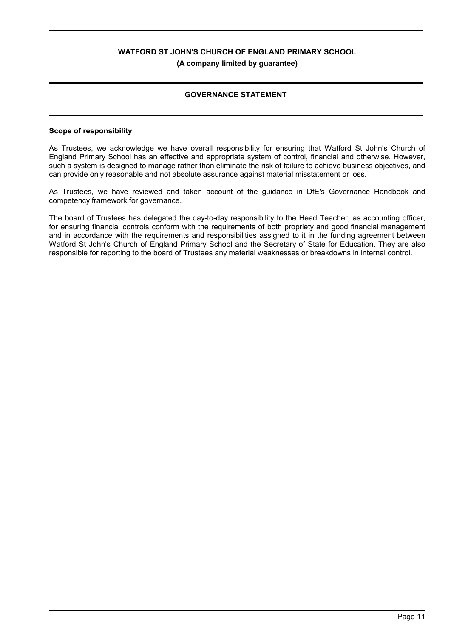## **GOVERNANCE STATEMENT**

#### **Scope of responsibility**

As Trustees, we acknowledge we have overall responsibility for ensuring that Watford St John's Church of England Primary School has an effective and appropriate system of control, financial and otherwise. However, such a system is designed to manage rather than eliminate the risk of failure to achieve business objectives, and can provide only reasonable and not absolute assurance against material misstatement or loss.

As Trustees, we have reviewed and taken account of the guidance in DfE's Governance Handbook and competency framework for governance.

The board of Trustees has delegated the day-to-day responsibility to the Head Teacher, as accounting officer, for ensuring financial controls conform with the requirements of both propriety and good financial management and in accordance with the requirements and responsibilities assigned to it in the funding agreement between Watford St John's Church of England Primary School and the Secretary of State for Education. They are also responsible for reporting to the board of Trustees any material weaknesses or breakdowns in internal control.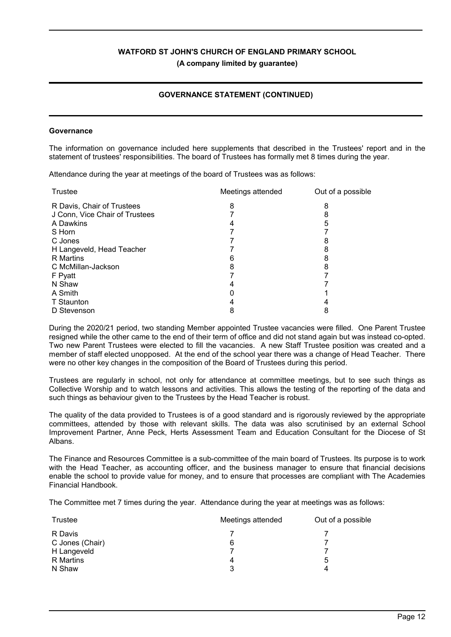## **GOVERNANCE STATEMENT (CONTINUED)**

#### **Governance**

The information on governance included here supplements that described in the Trustees' report and in the statement of trustees' responsibilities. The board of Trustees has formally met 8 times during the year.

Attendance during the year at meetings of the board of Trustees was as follows:

| Trustee                        | Meetings attended | Out of a possible |
|--------------------------------|-------------------|-------------------|
| R Davis, Chair of Trustees     | 8                 | 8                 |
| J Conn, Vice Chair of Trustees |                   | 8                 |
| A Dawkins                      |                   | 5                 |
| S Horn                         |                   |                   |
| C Jones                        |                   |                   |
| H Langeveld, Head Teacher      |                   |                   |
| <b>R</b> Martins               |                   |                   |
| C McMillan-Jackson             | 8                 | 8                 |
| F Pyatt                        |                   |                   |
| N Shaw                         |                   |                   |
| A Smith                        |                   |                   |
| T Staunton                     |                   |                   |
| D Stevenson                    |                   |                   |
|                                |                   |                   |

During the 2020/21 period, two standing Member appointed Trustee vacancies were filled. One Parent Trustee resigned while the other came to the end of their term of office and did not stand again but was instead co-opted. Two new Parent Trustees were elected to fill the vacancies. A new Staff Trustee position was created and a member of staff elected unopposed. At the end of the school year there was a change of Head Teacher. There were no other key changes in the composition of the Board of Trustees during this period.

Trustees are regularly in school, not only for attendance at committee meetings, but to see such things as Collective Worship and to watch lessons and activities. This allows the testing of the reporting of the data and such things as behaviour given to the Trustees by the Head Teacher is robust.

The quality of the data provided to Trustees is of a good standard and is rigorously reviewed by the appropriate committees, attended by those with relevant skills. The data was also scrutinised by an external School Improvement Partner, Anne Peck, Herts Assessment Team and Education Consultant for the Diocese of St Albans.

The Finance and Resources Committee is a sub-committee of the main board of Trustees. Its purpose is to work with the Head Teacher, as accounting officer, and the business manager to ensure that financial decisions enable the school to provide value for money, and to ensure that processes are compliant with The Academies Financial Handbook.

The Committee met 7 times during the year. Attendance during the year at meetings was as follows:

| Trustee         | Meetings attended | Out of a possible |
|-----------------|-------------------|-------------------|
| R Davis         |                   |                   |
| C Jones (Chair) | 6                 |                   |
| H Langeveld     |                   |                   |
| R Martins       | 4                 | 5                 |
| N Shaw          | 3                 |                   |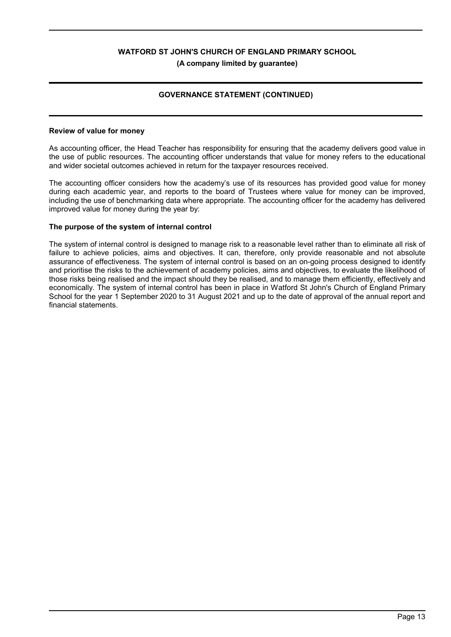## **GOVERNANCE STATEMENT (CONTINUED)**

#### **Review of value for money**

As accounting officer, the Head Teacher has responsibility for ensuring that the academy delivers good value in the use of public resources. The accounting officer understands that value for money refers to the educational and wider societal outcomes achieved in return for the taxpayer resources received.

The accounting officer considers how the academy's use of its resources has provided good value for money during each academic year, and reports to the board of Trustees where value for money can be improved, including the use of benchmarking data where appropriate. The accounting officer for the academy has delivered improved value for money during the year by:

#### **The purpose of the system of internal control**

The system of internal control is designed to manage risk to a reasonable level rather than to eliminate all risk of failure to achieve policies, aims and objectives. It can, therefore, only provide reasonable and not absolute assurance of effectiveness. The system of internal control is based on an on-going process designed to identify and prioritise the risks to the achievement of academy policies, aims and objectives, to evaluate the likelihood of those risks being realised and the impact should they be realised, and to manage them efficiently, effectively and economically. The system of internal control has been in place in Watford St John's Church of England Primary School for the year 1 September 2020 to 31 August 2021 and up to the date of approval of the annual report and financial statements.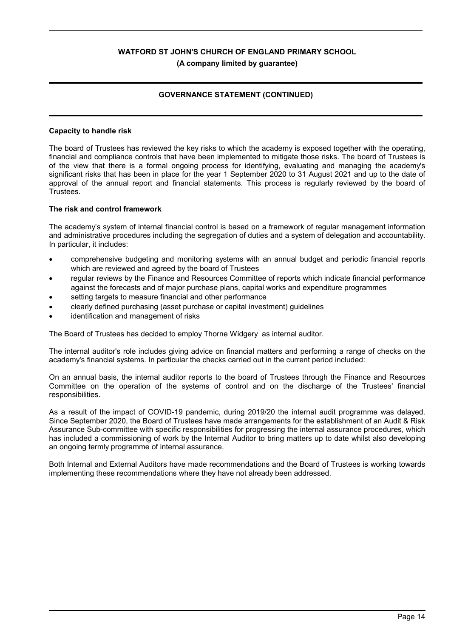## **GOVERNANCE STATEMENT (CONTINUED)**

#### **Capacity to handle risk**

The board of Trustees has reviewed the key risks to which the academy is exposed together with the operating, financial and compliance controls that have been implemented to mitigate those risks. The board of Trustees is of the view that there is a formal ongoing process for identifying, evaluating and managing the academy's significant risks that has been in place for the year 1 September 2020 to 31 August 2021 and up to the date of approval of the annual report and financial statements. This process is regularly reviewed by the board of Trustees.

#### **The risk and control framework**

The academy's system of internal financial control is based on a framework of regular management information and administrative procedures including the segregation of duties and a system of delegation and accountability. In particular, it includes:

- comprehensive budgeting and monitoring systems with an annual budget and periodic financial reports which are reviewed and agreed by the board of Trustees
- regular reviews by the Finance and Resources Committee of reports which indicate financial performance against the forecasts and of major purchase plans, capital works and expenditure programmes
- setting targets to measure financial and other performance
- clearly defined purchasing (asset purchase or capital investment) guidelines
- identification and management of risks

The Board of Trustees has decided to employ Thorne Widgery as internal auditor.

The internal auditor's role includes giving advice on financial matters and performing a range of checks on the academy's financial systems. In particular the checks carried out in the current period included:

On an annual basis, the internal auditor reports to the board of Trustees through the Finance and Resources Committee on the operation of the systems of control and on the discharge of the Trustees' financial responsibilities.

As a result of the impact of COVID-19 pandemic, during 2019/20 the internal audit programme was delayed. Since September 2020, the Board of Trustees have made arrangements for the establishment of an Audit & Risk Assurance Sub-committee with specific responsibilities for progressing the internal assurance procedures, which has included a commissioning of work by the Internal Auditor to bring matters up to date whilst also developing an ongoing termly programme of internal assurance.

Both Internal and External Auditors have made recommendations and the Board of Trustees is working towards implementing these recommendations where they have not already been addressed.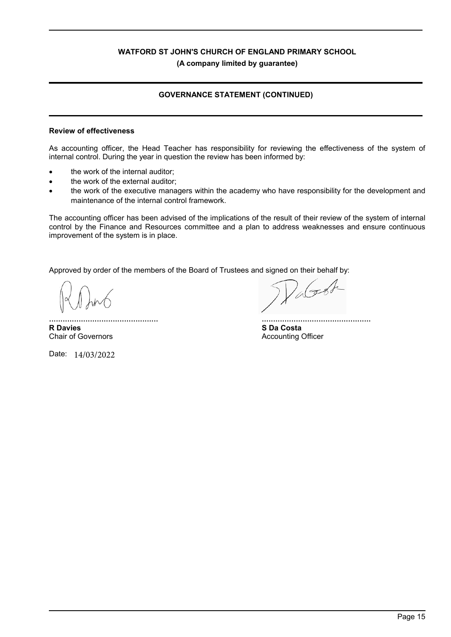## **GOVERNANCE STATEMENT (CONTINUED)**

#### **Review of effectiveness**

As accounting officer, the Head Teacher has responsibility for reviewing the effectiveness of the system of internal control. During the year in question the review has been informed by:

- the work of the internal auditor;
- the work of the external auditor;
- the work of the executive managers within the academy who have responsibility for the development and maintenance of the internal control framework.

The accounting officer has been advised of the implications of the result of their review of the system of internal control by the Finance and Resources committee and a plan to address weaknesses and ensure continuous improvement of the system is in place.

Approved by order of the members of the Board of Trustees and signed on their behalf by:

................................................ **R Davies** Chair of Governors

7 des 8-................................................

**S Da Costa** Accounting Officer

Date: 14/03/2022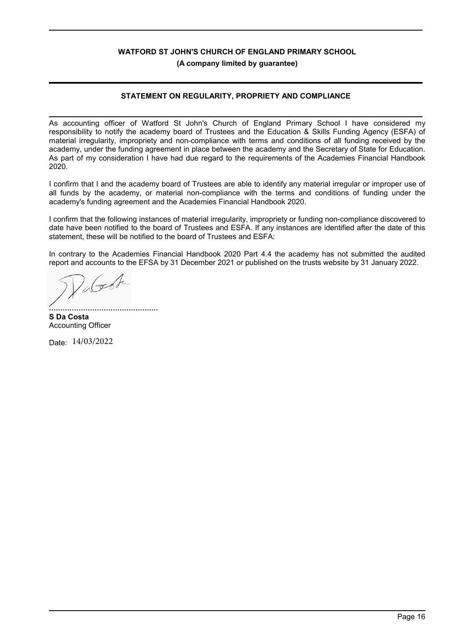## **STATEMENT ON REGULARITY, PROPRIETY AND COMPLIANCE**

As accounting officer of Watford St John's Church of England Primary School I have considered my responsibility to notify the academy board of Trustees and the Education & Skills Funding Agency (ESFA) of material irregularity, impropriety and non-compliance with terms and conditions of all funding received by the academy, under the funding agreement in place between the academy and the Secretary of State for Education. As part of my consideration I have had due regard to the requirements of the Academies Financial Handbook 2020.

I confirm that I and the academy board of Trustees are able to identify any material irregular or improper use of all funds by the academy, or material non-compliance with the terms and conditions of funding under the academy's funding agreement and the Academies Financial Handbook 2020.

I confirm that the following instances of material irregularity, impropriety or funding non-compliance discovered to date have been notified to the board of Trustees and ESFA. If any instances are identified after the date of this statement, these will be notified to the board of Trustees and ESFA:

In contrary to the Academies Financial Handbook 2020 Part 4.4 the academy has not submitted the audited report and accounts to the EFSA by 31 December 2021 or published on the trusts website by 31 January 2022.

 $\lambda$  (gb)

................................................ **S Da Costa** Accounting Officer

Date: 14/03/2022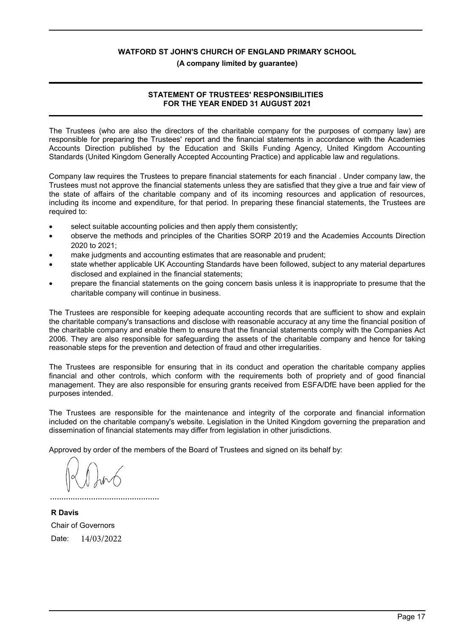#### **(A company limited by guarantee)**

## **STATEMENT OF TRUSTEES' RESPONSIBILITIES FOR THE YEAR ENDED 31 AUGUST 2021**

The Trustees (who are also the directors of the charitable company for the purposes of company law) are responsible for preparing the Trustees' report and the financial statements in accordance with the Academies Accounts Direction published by the Education and Skills Funding Agency, United Kingdom Accounting Standards (United Kingdom Generally Accepted Accounting Practice) and applicable law and regulations.

Company law requires the Trustees to prepare financial statements for each financial . Under company law, the Trustees must not approve the financial statements unless they are satisfied that they give a true and fair view of the state of affairs of the charitable company and of its incoming resources and application of resources, including its income and expenditure, for that period. In preparing these financial statements, the Trustees are required to:

- select suitable accounting policies and then apply them consistently;
- observe the methods and principles of the Charities SORP 2019 and the Academies Accounts Direction 2020 to 2021;
- make judgments and accounting estimates that are reasonable and prudent;
- state whether applicable UK Accounting Standards have been followed, subject to any material departures disclosed and explained in the financial statements;
- prepare the financial statements on the going concern basis unless it is inappropriate to presume that the charitable company will continue in business.

The Trustees are responsible for keeping adequate accounting records that are sufficient to show and explain the charitable company's transactions and disclose with reasonable accuracy at any time the financial position of the charitable company and enable them to ensure that the financial statements comply with the Companies Act 2006. They are also responsible for safeguarding the assets of the charitable company and hence for taking reasonable steps for the prevention and detection of fraud and other irregularities.

The Trustees are responsible for ensuring that in its conduct and operation the charitable company applies financial and other controls, which conform with the requirements both of propriety and of good financial management. They are also responsible for ensuring grants received from ESFA/DfE have been applied for the purposes intended.

The Trustees are responsible for the maintenance and integrity of the corporate and financial information included on the charitable company's website. Legislation in the United Kingdom governing the preparation and dissemination of financial statements may differ from legislation in other jurisdictions.

Approved by order of the members of the Board of Trustees and signed on its behalf by:

................................................

**R Davis** Chair of Governors Date: 14/03/2022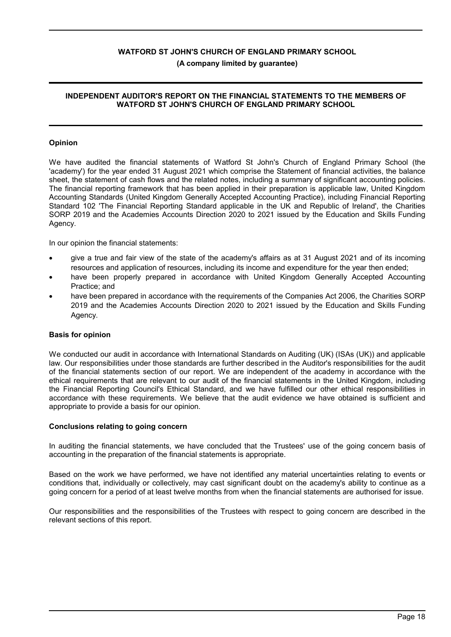#### **INDEPENDENT AUDITOR'S REPORT ON THE FINANCIAL STATEMENTS TO THE MEMBERS OF WATFORD ST JOHN'S CHURCH OF ENGLAND PRIMARY SCHOOL**

#### **Opinion**

We have audited the financial statements of Watford St John's Church of England Primary School (the 'academy') for the year ended 31 August 2021 which comprise the Statement of financial activities, the balance sheet, the statement of cash flows and the related notes, including a summary of significant accounting policies. The financial reporting framework that has been applied in their preparation is applicable law, United Kingdom Accounting Standards (United Kingdom Generally Accepted Accounting Practice), including Financial Reporting Standard 102 'The Financial Reporting Standard applicable in the UK and Republic of Ireland', the Charities SORP 2019 and the Academies Accounts Direction 2020 to 2021 issued by the Education and Skills Funding Agency.

In our opinion the financial statements:

- give a true and fair view of the state of the academy's affairs as at 31 August 2021 and of its incoming resources and application of resources, including its income and expenditure for the year then ended;
- have been properly prepared in accordance with United Kingdom Generally Accepted Accounting Practice; and
- have been prepared in accordance with the requirements of the Companies Act 2006, the Charities SORP 2019 and the Academies Accounts Direction 2020 to 2021 issued by the Education and Skills Funding Agency.

#### **Basis for opinion**

We conducted our audit in accordance with International Standards on Auditing (UK) (ISAs (UK)) and applicable law. Our responsibilities under those standards are further described in the Auditor's responsibilities for the audit of the financial statements section of our report. We are independent of the academy in accordance with the ethical requirements that are relevant to our audit of the financial statements in the United Kingdom, including the Financial Reporting Council's Ethical Standard, and we have fulfilled our other ethical responsibilities in accordance with these requirements. We believe that the audit evidence we have obtained is sufficient and appropriate to provide a basis for our opinion.

#### **Conclusions relating to going concern**

In auditing the financial statements, we have concluded that the Trustees' use of the going concern basis of accounting in the preparation of the financial statements is appropriate.

Based on the work we have performed, we have not identified any material uncertainties relating to events or conditions that, individually or collectively, may cast significant doubt on the academy's ability to continue as a going concern for a period of at least twelve months from when the financial statements are authorised for issue.

Our responsibilities and the responsibilities of the Trustees with respect to going concern are described in the relevant sections of this report.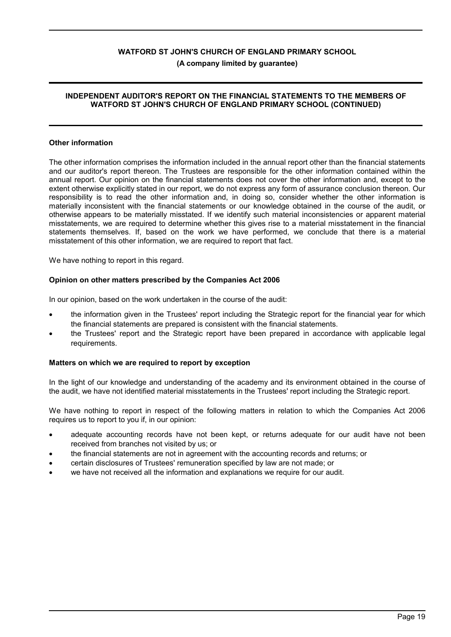### **INDEPENDENT AUDITOR'S REPORT ON THE FINANCIAL STATEMENTS TO THE MEMBERS OF WATFORD ST JOHN'S CHURCH OF ENGLAND PRIMARY SCHOOL (CONTINUED)**

#### **Other information**

The other information comprises the information included in the annual report other than the financial statements and our auditor's report thereon. The Trustees are responsible for the other information contained within the annual report. Our opinion on the financial statements does not cover the other information and, except to the extent otherwise explicitly stated in our report, we do not express any form of assurance conclusion thereon. Our responsibility is to read the other information and, in doing so, consider whether the other information is materially inconsistent with the financial statements or our knowledge obtained in the course of the audit, or otherwise appears to be materially misstated. If we identify such material inconsistencies or apparent material misstatements, we are required to determine whether this gives rise to a material misstatement in the financial statements themselves. If, based on the work we have performed, we conclude that there is a material misstatement of this other information, we are required to report that fact.

We have nothing to report in this regard.

#### **Opinion on other matters prescribed by the Companies Act 2006**

In our opinion, based on the work undertaken in the course of the audit:

- the information given in the Trustees' report including the Strategic report for the financial year for which the financial statements are prepared is consistent with the financial statements.
- the Trustees' report and the Strategic report have been prepared in accordance with applicable legal requirements.

#### **Matters on which we are required to report by exception**

In the light of our knowledge and understanding of the academy and its environment obtained in the course of the audit, we have not identified material misstatements in the Trustees' report including the Strategic report.

We have nothing to report in respect of the following matters in relation to which the Companies Act 2006 requires us to report to you if, in our opinion:

- adequate accounting records have not been kept, or returns adequate for our audit have not been received from branches not visited by us; or
- the financial statements are not in agreement with the accounting records and returns; or
- certain disclosures of Trustees' remuneration specified by law are not made; or
- we have not received all the information and explanations we require for our audit.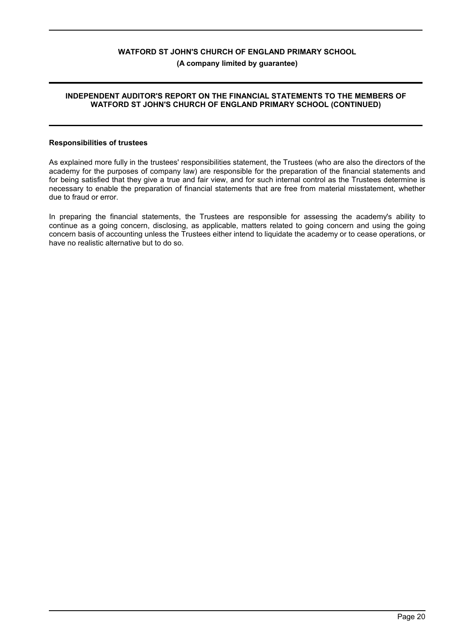### **INDEPENDENT AUDITOR'S REPORT ON THE FINANCIAL STATEMENTS TO THE MEMBERS OF WATFORD ST JOHN'S CHURCH OF ENGLAND PRIMARY SCHOOL (CONTINUED)**

#### **Responsibilities of trustees**

As explained more fully in the trustees' responsibilities statement, the Trustees (who are also the directors of the academy for the purposes of company law) are responsible for the preparation of the financial statements and for being satisfied that they give a true and fair view, and for such internal control as the Trustees determine is necessary to enable the preparation of financial statements that are free from material misstatement, whether due to fraud or error.

In preparing the financial statements, the Trustees are responsible for assessing the academy's ability to continue as a going concern, disclosing, as applicable, matters related to going concern and using the going concern basis of accounting unless the Trustees either intend to liquidate the academy or to cease operations, or have no realistic alternative but to do so.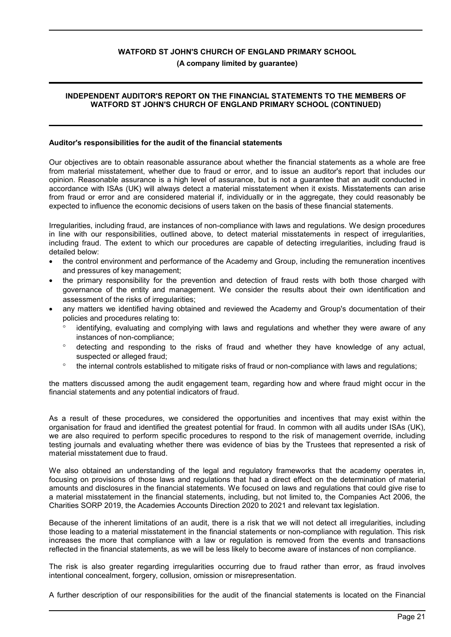**(A company limited by guarantee)**

#### **INDEPENDENT AUDITOR'S REPORT ON THE FINANCIAL STATEMENTS TO THE MEMBERS OF WATFORD ST JOHN'S CHURCH OF ENGLAND PRIMARY SCHOOL (CONTINUED)**

#### **Auditor's responsibilities for the audit of the financial statements**

Our objectives are to obtain reasonable assurance about whether the financial statements as a whole are free from material misstatement, whether due to fraud or error, and to issue an auditor's report that includes our opinion. Reasonable assurance is a high level of assurance, but is not a guarantee that an audit conducted in accordance with ISAs (UK) will always detect a material misstatement when it exists. Misstatements can arise from fraud or error and are considered material if, individually or in the aggregate, they could reasonably be expected to influence the economic decisions of users taken on the basis of these financial statements.

Irregularities, including fraud, are instances of non-compliance with laws and regulations. We design procedures in line with our responsibilities, outlined above, to detect material misstatements in respect of irregularities, including fraud. The extent to which our procedures are capable of detecting irregularities, including fraud is detailed below:

- the control environment and performance of the Academy and Group, including the remuneration incentives and pressures of key management;
- the primary responsibility for the prevention and detection of fraud rests with both those charged with governance of the entity and management. We consider the results about their own identification and assessment of the risks of irregularities;
- any matters we identified having obtained and reviewed the Academy and Group's documentation of their policies and procedures relating to:
	- identifying, evaluating and complying with laws and regulations and whether they were aware of any instances of non-compliance;
	- detecting and responding to the risks of fraud and whether they have knowledge of any actual, suspected or alleged fraud;
	- the internal controls established to mitigate risks of fraud or non-compliance with laws and regulations;

the matters discussed among the audit engagement team, regarding how and where fraud might occur in the financial statements and any potential indicators of fraud.

As a result of these procedures, we considered the opportunities and incentives that may exist within the organisation for fraud and identified the greatest potential for fraud. In common with all audits under ISAs (UK), we are also required to perform specific procedures to respond to the risk of management override, including testing journals and evaluating whether there was evidence of bias by the Trustees that represented a risk of material misstatement due to fraud.

We also obtained an understanding of the legal and regulatory frameworks that the academy operates in, focusing on provisions of those laws and regulations that had a direct effect on the determination of material amounts and disclosures in the financial statements. We focused on laws and regulations that could give rise to a material misstatement in the financial statements, including, but not limited to, the Companies Act 2006, the Charities SORP 2019, the Academies Accounts Direction 2020 to 2021 and relevant tax legislation.

Because of the inherent limitations of an audit, there is a risk that we will not detect all irregularities, including those leading to a material misstatement in the financial statements or non-compliance with regulation. This risk increases the more that compliance with a law or regulation is removed from the events and transactions reflected in the financial statements, as we will be less likely to become aware of instances of non compliance.

The risk is also greater regarding irregularities occurring due to fraud rather than error, as fraud involves intentional concealment, forgery, collusion, omission or misrepresentation.

A further description of our responsibilities for the audit of the financial statements is located on the Financial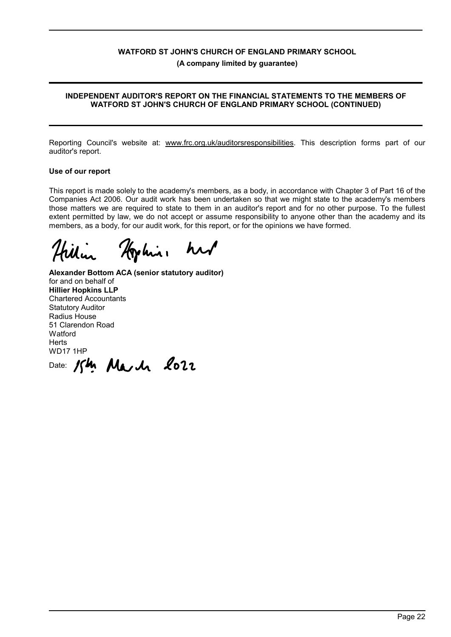### **INDEPENDENT AUDITOR'S REPORT ON THE FINANCIAL STATEMENTS TO THE MEMBERS OF WATFORD ST JOHN'S CHURCH OF ENGLAND PRIMARY SCHOOL (CONTINUED)**

Reporting Council's website at: www.frc.org.uk/auditorsresponsibilities. This description forms part of our auditor's report.

## **Use of our report**

This report is made solely to the academy's members, as a body, in accordance with Chapter 3 of Part 16 of the Companies Act 2006. Our audit work has been undertaken so that we might state to the academy's members those matters we are required to state to them in an auditor's report and for no other purpose. To the fullest extent permitted by law, we do not accept or assume responsibility to anyone other than the academy and its members, as a body, for our audit work, for this report, or for the opinions we have formed.

Hopkin

**Alexander Bottom ACA (senior statutory auditor)** for and on behalf of **Hillier Hopkins LLP** Chartered Accountants Statutory Auditor Radius House 51 Clarendon Road Watford **Herts** WD17 1HP

Date: 15hr March 2022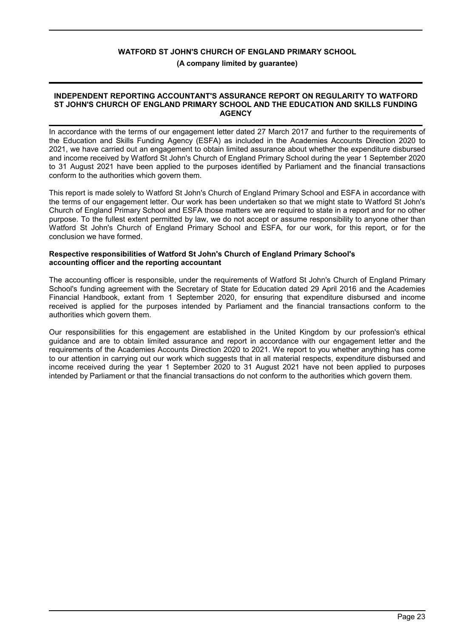#### **INDEPENDENT REPORTING ACCOUNTANT'S ASSURANCE REPORT ON REGULARITY TO WATFORD ST JOHN'S CHURCH OF ENGLAND PRIMARY SCHOOL AND THE EDUCATION AND SKILLS FUNDING AGENCY**

In accordance with the terms of our engagement letter dated 27 March 2017 and further to the requirements of the Education and Skills Funding Agency (ESFA) as included in the Academies Accounts Direction 2020 to 2021, we have carried out an engagement to obtain limited assurance about whether the expenditure disbursed and income received by Watford St John's Church of England Primary School during the year 1 September 2020 to 31 August 2021 have been applied to the purposes identified by Parliament and the financial transactions conform to the authorities which govern them.

This report is made solely to Watford St John's Church of England Primary School and ESFA in accordance with the terms of our engagement letter. Our work has been undertaken so that we might state to Watford St John's Church of England Primary School and ESFA those matters we are required to state in a report and for no other purpose. To the fullest extent permitted by law, we do not accept or assume responsibility to anyone other than Watford St John's Church of England Primary School and ESFA, for our work, for this report, or for the conclusion we have formed.

#### **Respective responsibilities of Watford St John's Church of England Primary School's accounting officer and the reporting accountant**

The accounting officer is responsible, under the requirements of Watford St John's Church of England Primary School's funding agreement with the Secretary of State for Education dated 29 April 2016 and the Academies Financial Handbook, extant from 1 September 2020, for ensuring that expenditure disbursed and income received is applied for the purposes intended by Parliament and the financial transactions conform to the authorities which govern them.

Our responsibilities for this engagement are established in the United Kingdom by our profession's ethical guidance and are to obtain limited assurance and report in accordance with our engagement letter and the requirements of the Academies Accounts Direction 2020 to 2021. We report to you whether anything has come to our attention in carrying out our work which suggests that in all material respects, expenditure disbursed and income received during the year 1 September 2020 to 31 August 2021 have not been applied to purposes intended by Parliament or that the financial transactions do not conform to the authorities which govern them.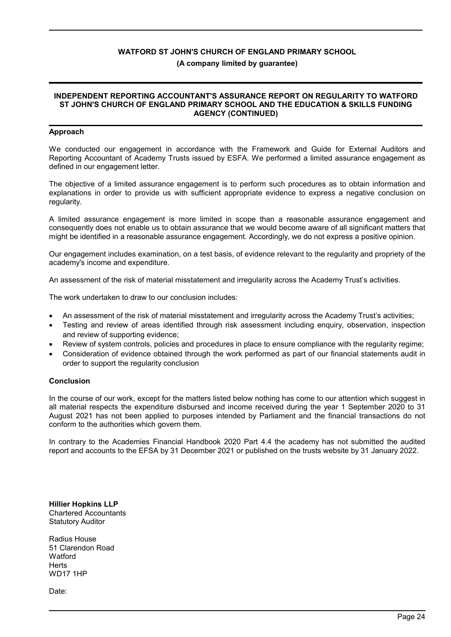## **(A company limited by guarantee)**

#### **INDEPENDENT REPORTING ACCOUNTANT'S ASSURANCE REPORT ON REGULARITY TO WATFORD ST JOHN'S CHURCH OF ENGLAND PRIMARY SCHOOL AND THE EDUCATION & SKILLS FUNDING AGENCY (CONTINUED)**

#### **Approach**

We conducted our engagement in accordance with the Framework and Guide for External Auditors and Reporting Accountant of Academy Trusts issued by ESFA. We performed a limited assurance engagement as defined in our engagement letter.

The objective of a limited assurance engagement is to perform such procedures as to obtain information and explanations in order to provide us with sufficient appropriate evidence to express a negative conclusion on regularity.

A limited assurance engagement is more limited in scope than a reasonable assurance engagement and consequently does not enable us to obtain assurance that we would become aware of all significant matters that might be identified in a reasonable assurance engagement. Accordingly, we do not express a positive opinion.

Our engagement includes examination, on a test basis, of evidence relevant to the regularity and propriety of the academy's income and expenditure.

An assessment of the risk of material misstatement and irregularity across the Academy Trust's activities.

The work undertaken to draw to our conclusion includes:

- An assessment of the risk of material misstatement and irregularity across the Academy Trust's activities;
- Testing and review of areas identified through risk assessment including enquiry, observation, inspection and review of supporting evidence;
- Review of system controls, policies and procedures in place to ensure compliance with the regularity regime;
- Consideration of evidence obtained through the work performed as part of our financial statements audit in order to support the regularity conclusion

#### **Conclusion**

In the course of our work, except for the matters listed below nothing has come to our attention which suggest in all material respects the expenditure disbursed and income received during the year 1 September 2020 to 31 August 2021 has not been applied to purposes intended by Parliament and the financial transactions do not conform to the authorities which govern them.

In contrary to the Academies Financial Handbook 2020 Part 4.4 the academy has not submitted the audited report and accounts to the EFSA by 31 December 2021 or published on the trusts website by 31 January 2022.

**Hillier Hopkins LLP** Chartered Accountants Statutory Auditor

Radius House 51 Clarendon Road **Watford Herts** WD17 1HP

Date: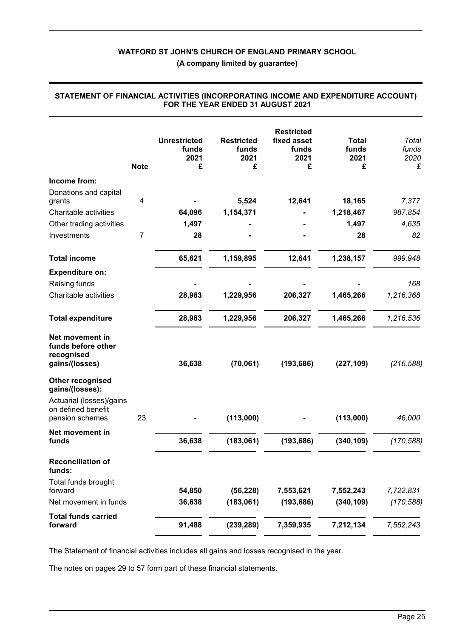**(A company limited by guarantee)**

|                                                                       | <b>Note</b> | <b>Unrestricted</b><br>funds<br>2021<br>£ | <b>Restricted</b><br>funds<br>2021<br>£ | <b>Restricted</b><br>fixed asset<br>funds<br>2021<br>£ | <b>Total</b><br>funds<br>2021<br>£ | Total<br>funds<br>2020<br>£ |
|-----------------------------------------------------------------------|-------------|-------------------------------------------|-----------------------------------------|--------------------------------------------------------|------------------------------------|-----------------------------|
| Income from:                                                          |             |                                           |                                         |                                                        |                                    |                             |
| Donations and capital<br>grants                                       | 4           |                                           | 5,524                                   | 12,641                                                 | 18,165                             | 7,377                       |
| Charitable activities                                                 |             | 64,096                                    | 1,154,371                               |                                                        | 1,218,467                          | 987,854                     |
| Other trading activities                                              |             | 1,497                                     |                                         |                                                        | 1,497                              | 4,635                       |
| Investments                                                           | 7           | 28                                        |                                         |                                                        | 28                                 | 82                          |
| <b>Total income</b>                                                   |             | 65,621                                    | 1,159,895                               | 12,641                                                 | 1,238,157                          | 999,948                     |
| <b>Expenditure on:</b>                                                |             |                                           |                                         |                                                        |                                    |                             |
| Raising funds                                                         |             |                                           |                                         |                                                        |                                    | 168                         |
| Charitable activities                                                 |             | 28,983                                    | 1,229,956                               | 206,327                                                | 1,465,266                          | 1,216,368                   |
| <b>Total expenditure</b>                                              |             | 28,983                                    | 1,229,956                               | 206,327                                                | 1,465,266                          | 1,216,536                   |
| Net movement in<br>funds before other<br>recognised<br>gains/(losses) |             | 36,638                                    | (70,061)                                | (193, 686)                                             | (227, 109)                         | (216, 588)                  |
| Other recognised<br>gains/(losses):                                   |             |                                           |                                         |                                                        |                                    |                             |
| Actuarial (losses)/gains<br>on defined benefit                        |             |                                           |                                         |                                                        |                                    |                             |
| pension schemes                                                       | 23          |                                           | (113,000)                               |                                                        | (113,000)                          | 46,000                      |
| Net movement in                                                       |             |                                           |                                         |                                                        |                                    |                             |
| funds                                                                 |             | 36,638                                    | (183,061)                               | (193, 686)                                             | (340, 109)                         | (170, 588)                  |
| <b>Reconciliation of</b><br>funds:                                    |             |                                           |                                         |                                                        |                                    |                             |
| Total funds brought<br>forward                                        |             | 54,850                                    | (56, 228)                               | 7,553,621                                              | 7,552,243                          | 7,722,831                   |
| Net movement in funds                                                 |             | 36,638                                    | (183,061)                               | (193, 686)                                             | (340, 109)                         | (170, 588)                  |
| <b>Total funds carried</b>                                            |             |                                           |                                         |                                                        |                                    |                             |
| forward                                                               |             | 91,488                                    | (239, 289)                              | 7,359,935                                              | 7,212,134                          | 7,552,243                   |

#### **STATEMENT OF FINANCIAL ACTIVITIES (INCORPORATING INCOME AND EXPENDITURE ACCOUNT) FOR THE YEAR ENDED 31 AUGUST 2021**

The Statement of financial activities includes all gains and losses recognised in the year.

The notes on pages 29 to 57 form part of these financial statements.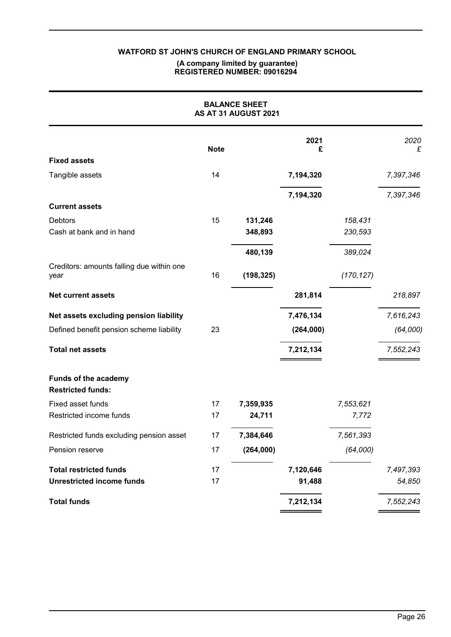#### **(A company limited by guarantee) REGISTERED NUMBER: 09016294**

| <b>BALANCE SHEET</b><br>AS AT 31 AUGUST 2021            |             |            |           |            |           |
|---------------------------------------------------------|-------------|------------|-----------|------------|-----------|
|                                                         | <b>Note</b> |            | 2021<br>£ |            | 2020<br>£ |
| <b>Fixed assets</b>                                     |             |            |           |            |           |
| Tangible assets                                         | 14          |            | 7,194,320 |            | 7,397,346 |
|                                                         |             |            | 7,194,320 |            | 7,397,346 |
| <b>Current assets</b>                                   |             |            |           |            |           |
| <b>Debtors</b>                                          | 15          | 131,246    |           | 158,431    |           |
| Cash at bank and in hand                                |             | 348,893    |           | 230,593    |           |
|                                                         |             | 480,139    |           | 389,024    |           |
| Creditors: amounts falling due within one<br>year       | 16          | (198, 325) |           | (170, 127) |           |
| <b>Net current assets</b>                               |             |            | 281,814   |            | 218,897   |
| Net assets excluding pension liability                  |             |            | 7,476,134 |            | 7,616,243 |
| Defined benefit pension scheme liability                | 23          |            | (264,000) |            | (64,000)  |
| <b>Total net assets</b>                                 |             |            | 7,212,134 |            | 7,552,243 |
| <b>Funds of the academy</b><br><b>Restricted funds:</b> |             |            |           |            |           |
| Fixed asset funds                                       | 17          | 7,359,935  |           | 7,553,621  |           |
| Restricted income funds                                 | 17          | 24,711     |           | 7,772      |           |
| Restricted funds excluding pension asset                | 17          | 7,384,646  |           | 7,561,393  |           |
| Pension reserve                                         | 17          | (264,000)  |           | (64,000)   |           |
| <b>Total restricted funds</b>                           | 17          |            | 7,120,646 |            | 7,497,393 |
| <b>Unrestricted income funds</b>                        | 17          |            | 91,488    |            | 54,850    |
| <b>Total funds</b>                                      |             |            | 7,212,134 |            | 7,552,243 |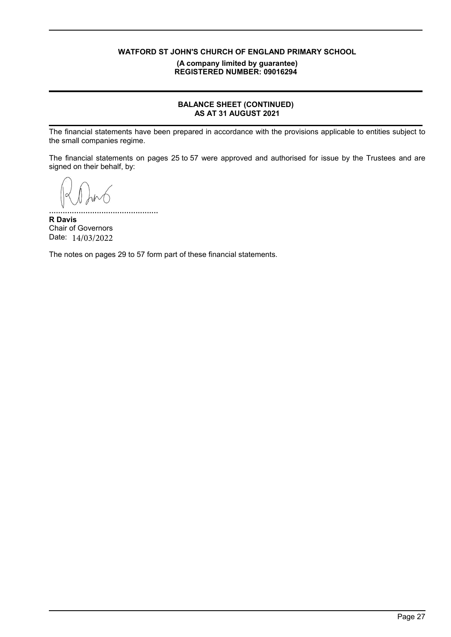**(A company limited by guarantee) REGISTERED NUMBER: 09016294**

## **BALANCE SHEET (CONTINUED) AS AT 31 AUGUST 2021**

The financial statements have been prepared in accordance with the provisions applicable to entities subject to the small companies regime.

The financial statements on pages 25 to 57 were approved and authorised for issue by the Trustees and are signed on their behalf, by:

................................................ **R Davis** Chair of Governors Date: 14/03/2022

The notes on pages 29 to 57 form part of these financial statements.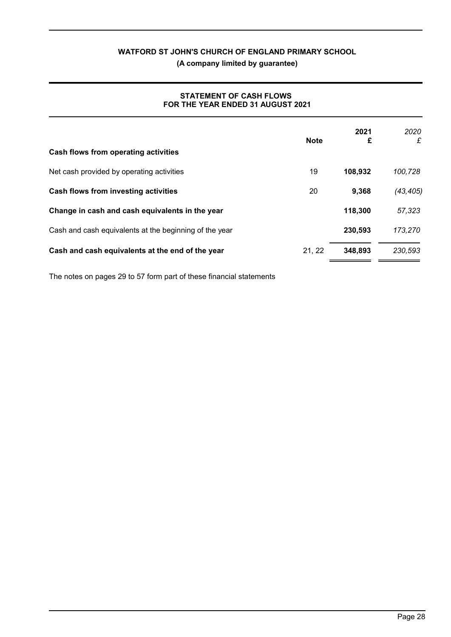## **STATEMENT OF CASH FLOWS FOR THE YEAR ENDED 31 AUGUST 2021**

| Cash flows from operating activities                   | <b>Note</b> | 2021<br>£ | 2020<br>£ |
|--------------------------------------------------------|-------------|-----------|-----------|
| Net cash provided by operating activities              | 19          | 108,932   | 100,728   |
| Cash flows from investing activities                   | 20          | 9,368     | (43, 405) |
| Change in cash and cash equivalents in the year        |             | 118,300   | 57,323    |
| Cash and cash equivalents at the beginning of the year |             | 230,593   | 173,270   |
| Cash and cash equivalents at the end of the year       | 21, 22      | 348,893   | 230,593   |

The notes on pages 29 to 57 form part of these financial statements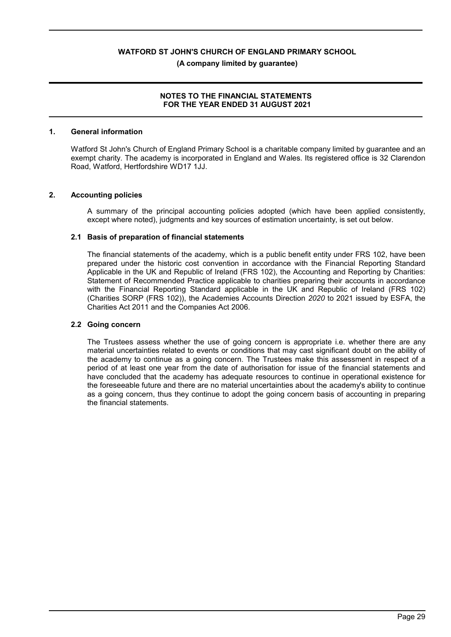#### **NOTES TO THE FINANCIAL STATEMENTS FOR THE YEAR ENDED 31 AUGUST 2021**

#### **1. General information**

Watford St John's Church of England Primary School is a charitable company limited by guarantee and an exempt charity. The academy is incorporated in England and Wales. Its registered office is 32 Clarendon Road, Watford, Hertfordshire WD17 1JJ.

#### **2. Accounting policies**

A summary of the principal accounting policies adopted (which have been applied consistently, except where noted), judgments and key sources of estimation uncertainty, is set out below.

#### **2.1 Basis of preparation of financial statements**

The financial statements of the academy, which is a public benefit entity under FRS 102, have been prepared under the historic cost convention in accordance with the Financial Reporting Standard Applicable in the UK and Republic of Ireland (FRS 102), the Accounting and Reporting by Charities: Statement of Recommended Practice applicable to charities preparing their accounts in accordance with the Financial Reporting Standard applicable in the UK and Republic of Ireland (FRS 102) (Charities SORP (FRS 102)), the Academies Accounts Direction *2020* to 2021 issued by ESFA, the Charities Act 2011 and the Companies Act 2006.

#### **2.2 Going concern**

The Trustees assess whether the use of going concern is appropriate i.e. whether there are any material uncertainties related to events or conditions that may cast significant doubt on the ability of the academy to continue as a going concern. The Trustees make this assessment in respect of a period of at least one year from the date of authorisation for issue of the financial statements and have concluded that the academy has adequate resources to continue in operational existence for the foreseeable future and there are no material uncertainties about the academy's ability to continue as a going concern, thus they continue to adopt the going concern basis of accounting in preparing the financial statements.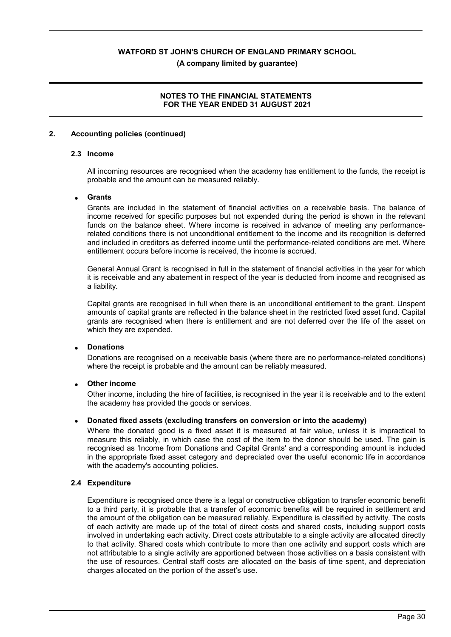**(A company limited by guarantee)**

## **NOTES TO THE FINANCIAL STATEMENTS FOR THE YEAR ENDED 31 AUGUST 2021**

#### **2. Accounting policies (continued)**

#### **2.3 Income**

All incoming resources are recognised when the academy has entitlement to the funds, the receipt is probable and the amount can be measured reliably.

#### **Grants**

Grants are included in the statement of financial activities on a receivable basis. The balance of income received for specific purposes but not expended during the period is shown in the relevant funds on the balance sheet. Where income is received in advance of meeting any performancerelated conditions there is not unconditional entitlement to the income and its recognition is deferred and included in creditors as deferred income until the performance-related conditions are met. Where entitlement occurs before income is received, the income is accrued.

General Annual Grant is recognised in full in the statement of financial activities in the year for which it is receivable and any abatement in respect of the year is deducted from income and recognised as a liability.

Capital grants are recognised in full when there is an unconditional entitlement to the grant. Unspent amounts of capital grants are reflected in the balance sheet in the restricted fixed asset fund. Capital grants are recognised when there is entitlement and are not deferred over the life of the asset on which they are expended.

#### **Donations**

Donations are recognised on a receivable basis (where there are no performance-related conditions) where the receipt is probable and the amount can be reliably measured.

#### **Other income**

Other income, including the hire of facilities, is recognised in the year it is receivable and to the extent the academy has provided the goods or services.

#### **Donated fixed assets (excluding transfers on conversion or into the academy)**

Where the donated good is a fixed asset it is measured at fair value, unless it is impractical to measure this reliably, in which case the cost of the item to the donor should be used. The gain is recognised as 'Income from Donations and Capital Grants' and a corresponding amount is included in the appropriate fixed asset category and depreciated over the useful economic life in accordance with the academy's accounting policies.

#### **2.4 Expenditure**

Expenditure is recognised once there is a legal or constructive obligation to transfer economic benefit to a third party, it is probable that a transfer of economic benefits will be required in settlement and the amount of the obligation can be measured reliably. Expenditure is classified by activity. The costs of each activity are made up of the total of direct costs and shared costs, including support costs involved in undertaking each activity. Direct costs attributable to a single activity are allocated directly to that activity. Shared costs which contribute to more than one activity and support costs which are not attributable to a single activity are apportioned between those activities on a basis consistent with the use of resources. Central staff costs are allocated on the basis of time spent, and depreciation charges allocated on the portion of the asset's use.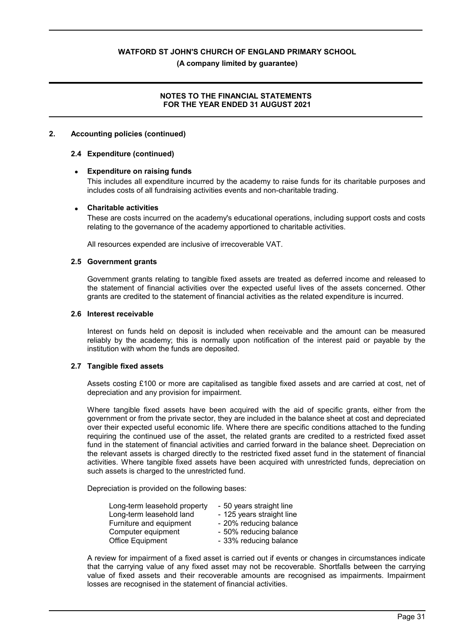**(A company limited by guarantee)**

### **NOTES TO THE FINANCIAL STATEMENTS FOR THE YEAR ENDED 31 AUGUST 2021**

#### **2. Accounting policies (continued)**

#### **2.4 Expenditure (continued)**

#### **Expenditure on raising funds**

This includes all expenditure incurred by the academy to raise funds for its charitable purposes and includes costs of all fundraising activities events and non-charitable trading.

#### **Charitable activities**

These are costs incurred on the academy's educational operations, including support costs and costs relating to the governance of the academy apportioned to charitable activities.

All resources expended are inclusive of irrecoverable VAT.

#### **2.5 Government grants**

Government grants relating to tangible fixed assets are treated as deferred income and released to the statement of financial activities over the expected useful lives of the assets concerned. Other grants are credited to the statement of financial activities as the related expenditure is incurred.

#### **2.6 Interest receivable**

Interest on funds held on deposit is included when receivable and the amount can be measured reliably by the academy; this is normally upon notification of the interest paid or payable by the institution with whom the funds are deposited.

#### **2.7 Tangible fixed assets**

Assets costing £100 or more are capitalised as tangible fixed assets and are carried at cost, net of depreciation and any provision for impairment.

Where tangible fixed assets have been acquired with the aid of specific grants, either from the government or from the private sector, they are included in the balance sheet at cost and depreciated over their expected useful economic life. Where there are specific conditions attached to the funding requiring the continued use of the asset, the related grants are credited to a restricted fixed asset fund in the statement of financial activities and carried forward in the balance sheet. Depreciation on the relevant assets is charged directly to the restricted fixed asset fund in the statement of financial activities. Where tangible fixed assets have been acquired with unrestricted funds, depreciation on such assets is charged to the unrestricted fund.

Depreciation is provided on the following bases:

| Long-term leasehold property | - 50 years straight line  |
|------------------------------|---------------------------|
| Long-term leasehold land     | - 125 years straight line |
| Furniture and equipment      | - 20% reducing balance    |
| Computer equipment           | - 50% reducing balance    |
| Office Equipment             | - 33% reducing balance    |

A review for impairment of a fixed asset is carried out if events or changes in circumstances indicate that the carrying value of any fixed asset may not be recoverable. Shortfalls between the carrying value of fixed assets and their recoverable amounts are recognised as impairments. Impairment losses are recognised in the statement of financial activities.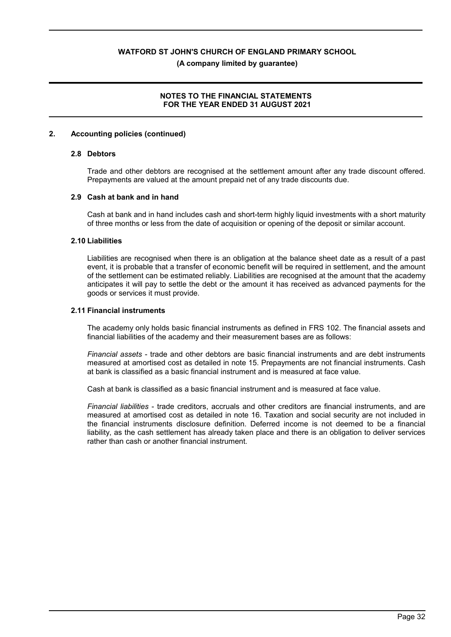**(A company limited by guarantee)**

## **NOTES TO THE FINANCIAL STATEMENTS FOR THE YEAR ENDED 31 AUGUST 2021**

#### **2. Accounting policies (continued)**

#### **2.8 Debtors**

Trade and other debtors are recognised at the settlement amount after any trade discount offered. Prepayments are valued at the amount prepaid net of any trade discounts due.

#### **2.9 Cash at bank and in hand**

Cash at bank and in hand includes cash and short-term highly liquid investments with a short maturity of three months or less from the date of acquisition or opening of the deposit or similar account.

#### **2.10 Liabilities**

Liabilities are recognised when there is an obligation at the balance sheet date as a result of a past event, it is probable that a transfer of economic benefit will be required in settlement, and the amount of the settlement can be estimated reliably. Liabilities are recognised at the amount that the academy anticipates it will pay to settle the debt or the amount it has received as advanced payments for the goods or services it must provide.

#### **2.11 Financial instruments**

The academy only holds basic financial instruments as defined in FRS 102. The financial assets and financial liabilities of the academy and their measurement bases are as follows:

*Financial assets* - trade and other debtors are basic financial instruments and are debt instruments measured at amortised cost as detailed in note 15. Prepayments are not financial instruments. Cash at bank is classified as a basic financial instrument and is measured at face value.

Cash at bank is classified as a basic financial instrument and is measured at face value.

*Financial liabilities* - trade creditors, accruals and other creditors are financial instruments, and are measured at amortised cost as detailed in note 16. Taxation and social security are not included in the financial instruments disclosure definition. Deferred income is not deemed to be a financial liability, as the cash settlement has already taken place and there is an obligation to deliver services rather than cash or another financial instrument.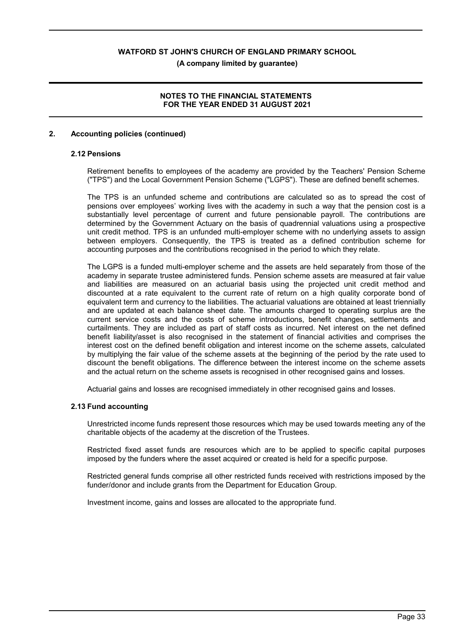### **NOTES TO THE FINANCIAL STATEMENTS FOR THE YEAR ENDED 31 AUGUST 2021**

#### **2. Accounting policies (continued)**

## **2.12 Pensions**

Retirement benefits to employees of the academy are provided by the Teachers' Pension Scheme ("TPS") and the Local Government Pension Scheme ("LGPS"). These are defined benefit schemes.

The TPS is an unfunded scheme and contributions are calculated so as to spread the cost of pensions over employees' working lives with the academy in such a way that the pension cost is a substantially level percentage of current and future pensionable payroll. The contributions are determined by the Government Actuary on the basis of quadrennial valuations using a prospective unit credit method. TPS is an unfunded multi-employer scheme with no underlying assets to assign between employers. Consequently, the TPS is treated as a defined contribution scheme for accounting purposes and the contributions recognised in the period to which they relate.

The LGPS is a funded multi-employer scheme and the assets are held separately from those of the academy in separate trustee administered funds. Pension scheme assets are measured at fair value and liabilities are measured on an actuarial basis using the projected unit credit method and discounted at a rate equivalent to the current rate of return on a high quality corporate bond of equivalent term and currency to the liabilities. The actuarial valuations are obtained at least triennially and are updated at each balance sheet date. The amounts charged to operating surplus are the current service costs and the costs of scheme introductions, benefit changes, settlements and curtailments. They are included as part of staff costs as incurred. Net interest on the net defined benefit liability/asset is also recognised in the statement of financial activities and comprises the interest cost on the defined benefit obligation and interest income on the scheme assets, calculated by multiplying the fair value of the scheme assets at the beginning of the period by the rate used to discount the benefit obligations. The difference between the interest income on the scheme assets and the actual return on the scheme assets is recognised in other recognised gains and losses.

Actuarial gains and losses are recognised immediately in other recognised gains and losses.

#### **2.13 Fund accounting**

Unrestricted income funds represent those resources which may be used towards meeting any of the charitable objects of the academy at the discretion of the Trustees.

Restricted fixed asset funds are resources which are to be applied to specific capital purposes imposed by the funders where the asset acquired or created is held for a specific purpose.

Restricted general funds comprise all other restricted funds received with restrictions imposed by the funder/donor and include grants from the Department for Education Group.

Investment income, gains and losses are allocated to the appropriate fund.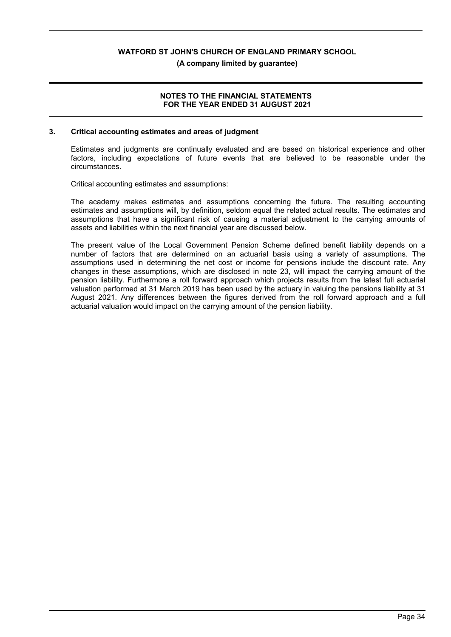**(A company limited by guarantee)**

#### **NOTES TO THE FINANCIAL STATEMENTS FOR THE YEAR ENDED 31 AUGUST 2021**

#### **3. Critical accounting estimates and areas of judgment**

Estimates and judgments are continually evaluated and are based on historical experience and other factors, including expectations of future events that are believed to be reasonable under the circumstances.

Critical accounting estimates and assumptions:

The academy makes estimates and assumptions concerning the future. The resulting accounting estimates and assumptions will, by definition, seldom equal the related actual results. The estimates and assumptions that have a significant risk of causing a material adjustment to the carrying amounts of assets and liabilities within the next financial year are discussed below.

The present value of the Local Government Pension Scheme defined benefit liability depends on a number of factors that are determined on an actuarial basis using a variety of assumptions. The assumptions used in determining the net cost or income for pensions include the discount rate. Any changes in these assumptions, which are disclosed in note 23, will impact the carrying amount of the pension liability. Furthermore a roll forward approach which projects results from the latest full actuarial valuation performed at 31 March 2019 has been used by the actuary in valuing the pensions liability at 31 August 2021. Any differences between the figures derived from the roll forward approach and a full actuarial valuation would impact on the carrying amount of the pension liability.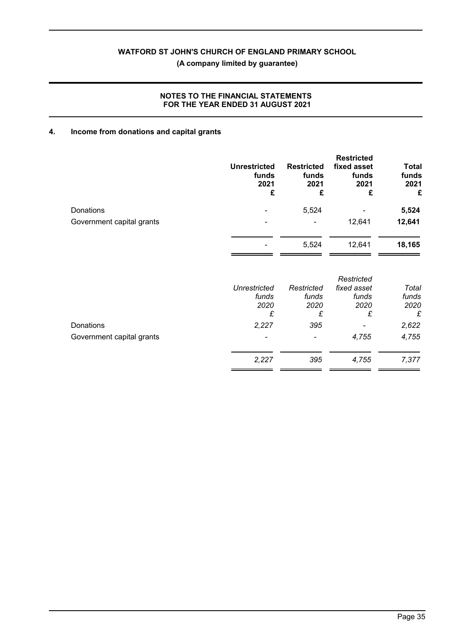## **NOTES TO THE FINANCIAL STATEMENTS FOR THE YEAR ENDED 31 AUGUST 2021**

## **4. Income from donations and capital grants**

|                           | <b>Unrestricted</b><br>funds<br>2021<br>£ | <b>Restricted</b><br>funds<br>2021<br>£ | <b>Restricted</b><br>fixed asset<br>funds<br>2021<br>£ | <b>Total</b><br>funds<br>2021<br>£ |
|---------------------------|-------------------------------------------|-----------------------------------------|--------------------------------------------------------|------------------------------------|
| Donations                 |                                           | 5,524                                   | -                                                      | 5,524                              |
| Government capital grants | ۰                                         | ۰                                       | 12,641                                                 | 12,641                             |
|                           |                                           | 5,524                                   | 12,641                                                 | 18,165                             |
|                           |                                           |                                         |                                                        |                                    |

|                           | <b>Unrestricted</b><br>funds<br>2020<br>£ | Restricted<br>funds<br>2020<br>£ | Restricted<br>fixed asset<br>funds<br>2020<br>£ | Total<br>funds<br>2020<br>£ |
|---------------------------|-------------------------------------------|----------------------------------|-------------------------------------------------|-----------------------------|
| Donations                 | 2,227                                     | 395                              | $\overline{\phantom{a}}$                        | 2,622                       |
| Government capital grants | $\overline{\phantom{a}}$                  |                                  | 4,755                                           | 4,755                       |
|                           | 2,227                                     | 395                              | 4,755                                           | 7,377                       |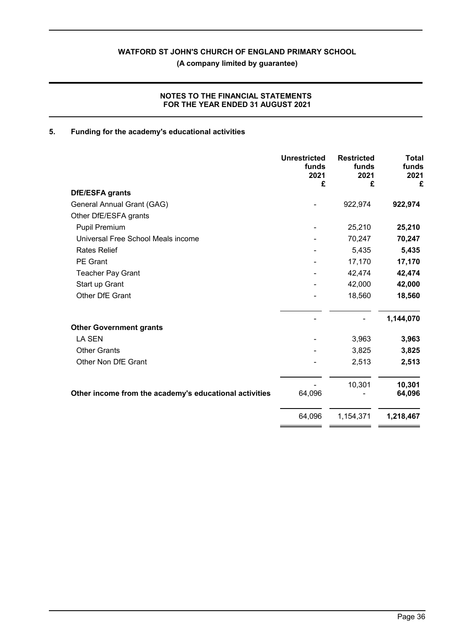### **NOTES TO THE FINANCIAL STATEMENTS FOR THE YEAR ENDED 31 AUGUST 2021**

## **5. Funding for the academy's educational activities**

|                                                        | <b>Unrestricted</b><br>funds<br>2021<br>£ | <b>Restricted</b><br>funds<br>2021<br>£ | Total<br>funds<br>2021<br>£ |
|--------------------------------------------------------|-------------------------------------------|-----------------------------------------|-----------------------------|
| DfE/ESFA grants                                        |                                           |                                         |                             |
| General Annual Grant (GAG)                             |                                           | 922,974                                 | 922,974                     |
| Other DfE/ESFA grants                                  |                                           |                                         |                             |
| <b>Pupil Premium</b>                                   |                                           | 25,210                                  | 25,210                      |
| Universal Free School Meals income                     |                                           | 70,247                                  | 70,247                      |
| <b>Rates Relief</b>                                    |                                           | 5,435                                   | 5,435                       |
| <b>PE Grant</b>                                        |                                           | 17,170                                  | 17,170                      |
| <b>Teacher Pay Grant</b>                               |                                           | 42,474                                  | 42,474                      |
| Start up Grant                                         |                                           | 42,000                                  | 42,000                      |
| Other DfE Grant                                        |                                           | 18,560                                  | 18,560                      |
|                                                        |                                           |                                         | 1,144,070                   |
| <b>Other Government grants</b>                         |                                           |                                         |                             |
| <b>LA SEN</b>                                          |                                           | 3,963                                   | 3,963                       |
| <b>Other Grants</b>                                    |                                           | 3,825                                   | 3,825                       |
| Other Non DfE Grant                                    |                                           | 2,513                                   | 2,513                       |
|                                                        |                                           | 10,301                                  | 10,301                      |
| Other income from the academy's educational activities | 64,096                                    |                                         | 64,096                      |
|                                                        | 64,096                                    | 1,154,371                               | 1,218,467                   |
|                                                        |                                           |                                         |                             |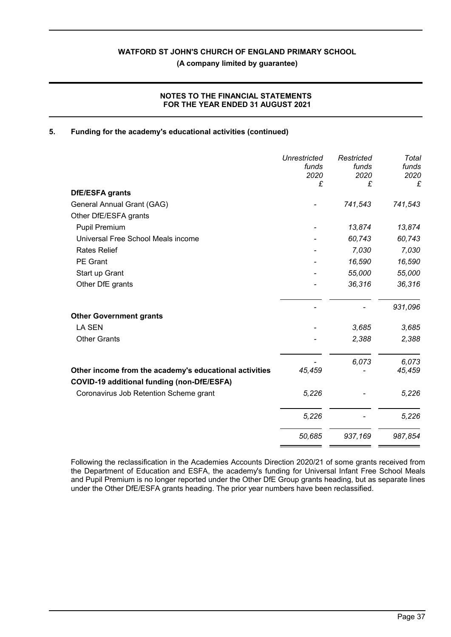## **NOTES TO THE FINANCIAL STATEMENTS FOR THE YEAR ENDED 31 AUGUST 2021**

#### **5. Funding for the academy's educational activities (continued)**

|                                                                                                      | <b>Unrestricted</b><br>funds<br>2020<br>£ | Restricted<br>funds<br>2020<br>£ | Total<br>funds<br>2020<br>£ |
|------------------------------------------------------------------------------------------------------|-------------------------------------------|----------------------------------|-----------------------------|
| DfE/ESFA grants                                                                                      |                                           |                                  |                             |
| General Annual Grant (GAG)                                                                           |                                           | 741,543                          | 741,543                     |
| Other DfE/ESFA grants                                                                                |                                           |                                  |                             |
| Pupil Premium                                                                                        |                                           | 13,874                           | 13,874                      |
| Universal Free School Meals income                                                                   |                                           | 60,743                           | 60,743                      |
| <b>Rates Relief</b>                                                                                  |                                           | 7,030                            | 7,030                       |
| PE Grant                                                                                             |                                           | 16,590                           | 16,590                      |
| Start up Grant                                                                                       |                                           | 55,000                           | 55,000                      |
| Other DfE grants                                                                                     |                                           | 36,316                           | 36,316                      |
|                                                                                                      |                                           |                                  | 931,096                     |
| <b>Other Government grants</b>                                                                       |                                           |                                  |                             |
| <b>LA SEN</b>                                                                                        |                                           | 3,685                            | 3,685                       |
| <b>Other Grants</b>                                                                                  |                                           | 2,388                            | 2,388                       |
|                                                                                                      |                                           | 6,073                            | 6.073                       |
| Other income from the academy's educational activities<br>COVID-19 additional funding (non-DfE/ESFA) | 45,459                                    |                                  | 45,459                      |
| Coronavirus Job Retention Scheme grant                                                               | 5,226                                     |                                  | 5,226                       |
|                                                                                                      | 5,226                                     |                                  | 5,226                       |
|                                                                                                      | 50,685                                    | 937,169                          | 987,854                     |

Following the reclassification in the Academies Accounts Direction 2020/21 of some grants received from the Department of Education and ESFA, the academy's funding for Universal Infant Free School Meals and Pupil Premium is no longer reported under the Other DfE Group grants heading, but as separate lines under the Other DfE/ESFA grants heading. The prior year numbers have been reclassified.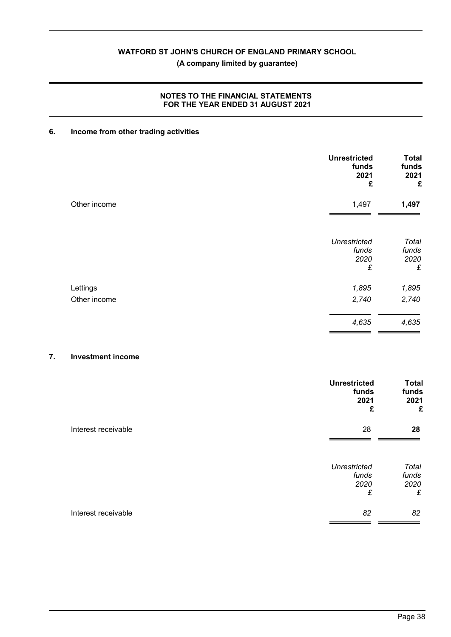**(A company limited by guarantee)**

## **NOTES TO THE FINANCIAL STATEMENTS FOR THE YEAR ENDED 31 AUGUST 2021**

## **6. Income from other trading activities**

|                          | <b>Unrestricted</b><br>funds<br>2021<br>£ | <b>Total</b><br>funds<br>2021<br>£ |
|--------------------------|-------------------------------------------|------------------------------------|
| Other income             | 1,497                                     | 1,497                              |
|                          | <b>Unrestricted</b><br>funds<br>2020<br>£ | Total<br>funds<br>2020<br>£        |
| Lettings<br>Other income | 1,895<br>2,740                            | 1,895<br>2,740                     |
|                          | 4,635                                     | 4,635                              |

## **7. Investment income**

|                     | <b>Unrestricted</b><br>funds<br>2021<br>£ | <b>Total</b><br>funds<br>2021<br>£ |
|---------------------|-------------------------------------------|------------------------------------|
| Interest receivable | 28                                        | 28                                 |
|                     | <b>Unrestricted</b><br>funds<br>2020<br>£ | Total<br>funds<br>2020<br>£        |
| Interest receivable | 82                                        | 82                                 |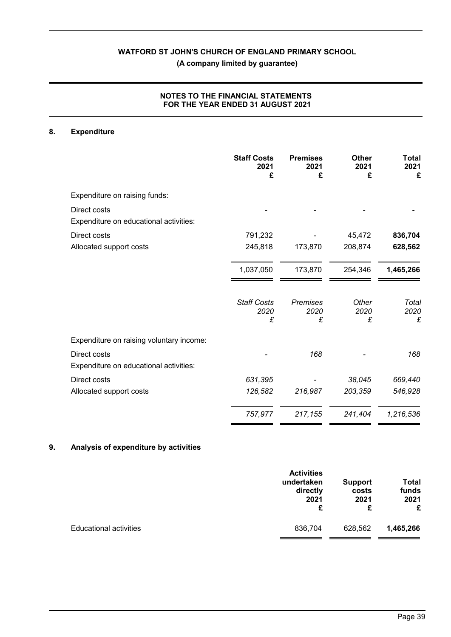## **NOTES TO THE FINANCIAL STATEMENTS FOR THE YEAR ENDED 31 AUGUST 2021**

## **8. Expenditure**

|                                                        | <b>Staff Costs</b><br>2021<br>£ | <b>Premises</b><br>2021<br>£ | Other<br>2021<br>£ | <b>Total</b><br>2021<br>£ |
|--------------------------------------------------------|---------------------------------|------------------------------|--------------------|---------------------------|
| Expenditure on raising funds:                          |                                 |                              |                    |                           |
| Direct costs<br>Expenditure on educational activities: |                                 |                              |                    |                           |
| Direct costs                                           | 791,232                         |                              | 45,472             | 836,704                   |
| Allocated support costs                                | 245,818                         | 173,870                      | 208,874            | 628,562                   |
|                                                        | 1,037,050                       | 173,870                      | 254,346            | 1,465,266                 |
|                                                        | <b>Staff Costs</b><br>2020<br>£ | <b>Premises</b><br>2020<br>£ | Other<br>2020<br>£ | Total<br>2020<br>£        |
| Expenditure on raising voluntary income:               |                                 |                              |                    |                           |
| Direct costs<br>Expenditure on educational activities: |                                 | 168                          |                    | 168                       |
| Direct costs                                           | 631,395                         |                              | 38,045             | 669,440                   |
| Allocated support costs                                | 126,582                         | 216,987                      | 203,359            | 546,928                   |
|                                                        | 757,977                         | 217,155                      | 241,404            | 1,216,536                 |

## **9. Analysis of expenditure by activities**

| directly<br>2021<br>£ | costs<br>2021<br>£ | funds<br>2021<br>£ |
|-----------------------|--------------------|--------------------|
| 836,704               | 628,562            | 1,465,266          |
|                       |                    |                    |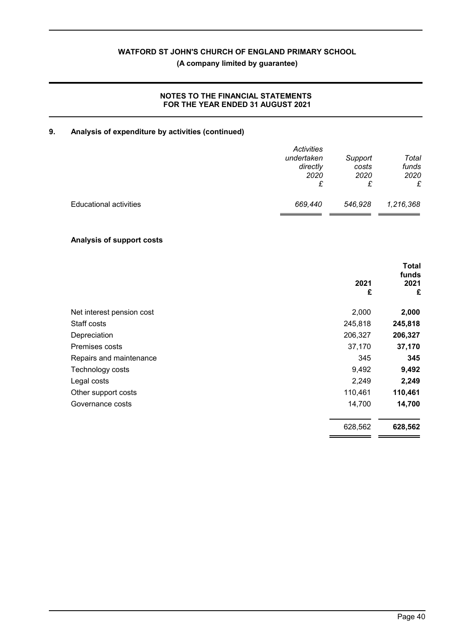## **NOTES TO THE FINANCIAL STATEMENTS FOR THE YEAR ENDED 31 AUGUST 2021**

## **9. Analysis of expenditure by activities (continued)**

|                               | <b>Activities</b><br>undertaken<br>directly<br>2020<br>£ | Support<br>costs<br>2020<br>£ | Total<br>funds<br>2020<br>£ |
|-------------------------------|----------------------------------------------------------|-------------------------------|-----------------------------|
| <b>Educational activities</b> | 669,440                                                  | 546,928                       | 1,216,368                   |

#### **Analysis of support costs**

|                           | 2021<br>£ | <b>Total</b><br>funds<br>2021<br>£ |
|---------------------------|-----------|------------------------------------|
| Net interest pension cost | 2,000     | 2,000                              |
| Staff costs               | 245,818   | 245,818                            |
| Depreciation              | 206,327   | 206,327                            |
| Premises costs            | 37,170    | 37,170                             |
| Repairs and maintenance   | 345       | 345                                |
| Technology costs          | 9,492     | 9,492                              |
| Legal costs               | 2,249     | 2,249                              |
| Other support costs       | 110,461   | 110,461                            |
| Governance costs          | 14,700    | 14,700                             |
|                           | 628,562   | 628,562                            |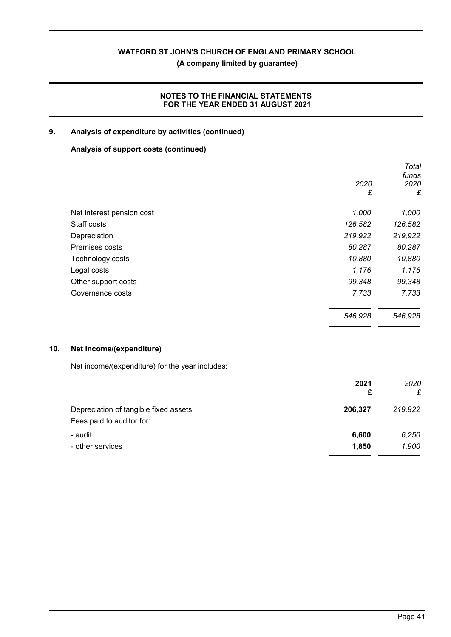### **NOTES TO THE FINANCIAL STATEMENTS FOR THE YEAR ENDED 31 AUGUST 2021**

## **9. Analysis of expenditure by activities (continued)**

## **Analysis of support costs (continued)**

|                           |           | Total<br>funds |
|---------------------------|-----------|----------------|
|                           | 2020<br>£ | 2020<br>£      |
| Net interest pension cost | 1,000     | 1,000          |
| Staff costs               | 126,582   | 126,582        |
| Depreciation              | 219,922   | 219,922        |
| Premises costs            | 80,287    | 80,287         |
| Technology costs          | 10,880    | 10,880         |
| Legal costs               | 1,176     | 1,176          |
| Other support costs       | 99,348    | 99,348         |
| Governance costs          | 7,733     | 7,733          |
|                           | 546,928   | 546,928        |

## **10. Net income/(expenditure)**

Net income/(expenditure) for the year includes:

|                                                                    | 2021<br>£ | 2020<br>£ |
|--------------------------------------------------------------------|-----------|-----------|
| Depreciation of tangible fixed assets<br>Fees paid to auditor for: | 206,327   | 219,922   |
| - audit                                                            | 6,600     | 6,250     |
| - other services                                                   | 1,850     | 1,900     |

 $\blacksquare$  .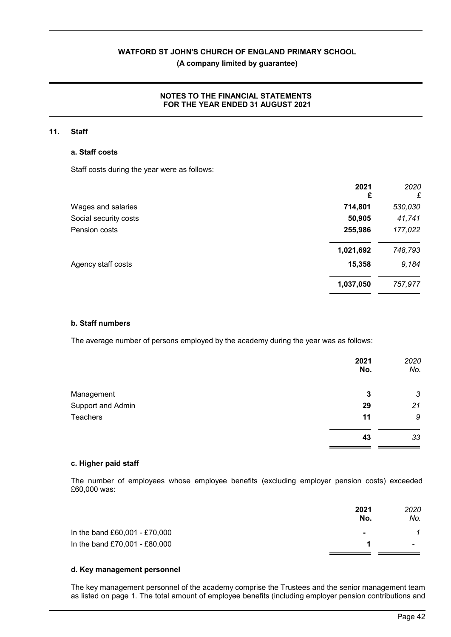### **NOTES TO THE FINANCIAL STATEMENTS FOR THE YEAR ENDED 31 AUGUST 2021**

#### **11. Staff**

#### **a. Staff costs**

Staff costs during the year were as follows:

|                       | 2021<br>£ | 2020<br>£ |
|-----------------------|-----------|-----------|
| Wages and salaries    | 714,801   | 530,030   |
| Social security costs | 50,905    | 41,741    |
| Pension costs         | 255,986   | 177,022   |
|                       | 1,021,692 | 748,793   |
| Agency staff costs    | 15,358    | 9,184     |
|                       | 1,037,050 | 757,977   |

#### **b. Staff numbers**

The average number of persons employed by the academy during the year was as follows:

|                   | 2021<br>No. | 2020<br>No. |
|-------------------|-------------|-------------|
| Management        | 3           | 3           |
| Support and Admin | 29          | 21          |
| <b>Teachers</b>   | 11          | 9           |
|                   | 43          | 33          |

#### **c. Higher paid staff**

The number of employees whose employee benefits (excluding employer pension costs) exceeded £60,000 was:

|                               | 2021<br>No.    | 2020<br>No.              |
|-------------------------------|----------------|--------------------------|
| In the band £60,001 - £70,000 | $\blacksquare$ |                          |
| In the band £70,001 - £80,000 |                | $\overline{\phantom{0}}$ |
|                               |                |                          |

## **d. Key management personnel**

The key management personnel of the academy comprise the Trustees and the senior management team as listed on page 1. The total amount of employee benefits (including employer pension contributions and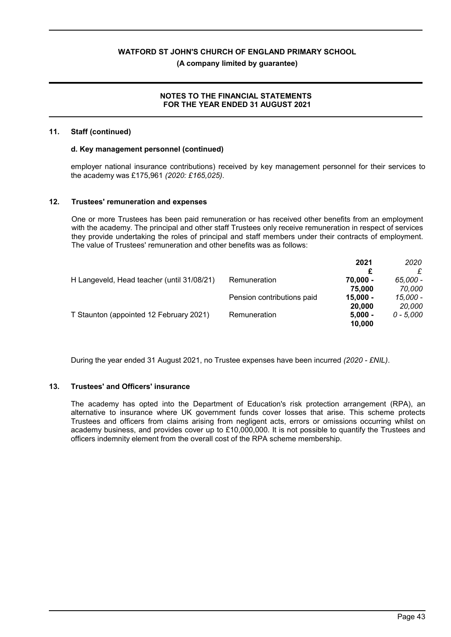**(A company limited by guarantee)**

#### **NOTES TO THE FINANCIAL STATEMENTS FOR THE YEAR ENDED 31 AUGUST 2021**

#### **11. Staff (continued)**

#### **d. Key management personnel (continued)**

employer national insurance contributions) received by key management personnel for their services to the academy was £175,961 *(2020: £165,025)*.

#### **12. Trustees' remuneration and expenses**

One or more Trustees has been paid remuneration or has received other benefits from an employment with the academy. The principal and other staff Trustees only receive remuneration in respect of services they provide undertaking the roles of principal and staff members under their contracts of employment. The value of Trustees' remuneration and other benefits was as follows:

|                                            |                            | 2021       | 2020        |
|--------------------------------------------|----------------------------|------------|-------------|
|                                            |                            | £          |             |
| H Langeveld, Head teacher (until 31/08/21) | Remuneration               | $70.000 -$ | 65.000 -    |
|                                            |                            | 75,000     | 70.000      |
|                                            | Pension contributions paid | $15.000 -$ | 15.000 -    |
|                                            |                            | 20,000     | 20,000      |
| T Staunton (appointed 12 February 2021)    | Remuneration               | $5.000 -$  | $0 - 5.000$ |
|                                            |                            | 10,000     |             |

During the year ended 31 August 2021, no Trustee expenses have been incurred *(2020 - £NIL)*.

#### **13. Trustees' and Officers' insurance**

The academy has opted into the Department of Education's risk protection arrangement (RPA), an alternative to insurance where UK government funds cover losses that arise. This scheme protects Trustees and officers from claims arising from negligent acts, errors or omissions occurring whilst on academy business, and provides cover up to £10,000,000. It is not possible to quantify the Trustees and officers indemnity element from the overall cost of the RPA scheme membership.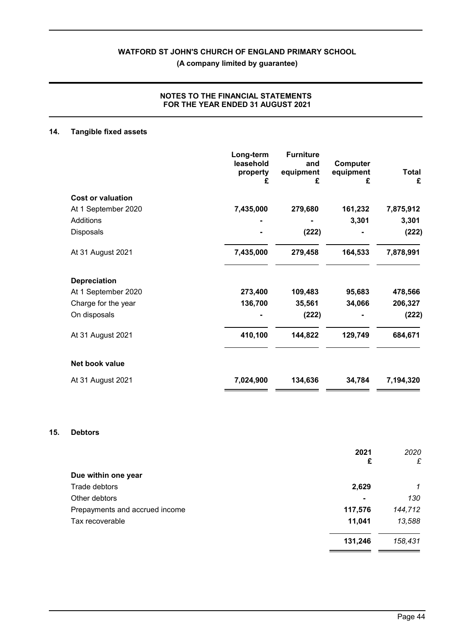## **NOTES TO THE FINANCIAL STATEMENTS FOR THE YEAR ENDED 31 AUGUST 2021**

## **14. Tangible fixed assets**

|                          | Long-term<br>leasehold<br>property<br>£ | <b>Furniture</b><br>and<br>equipment<br>£ | Computer<br>equipment<br>£ | <b>Total</b><br>£ |
|--------------------------|-----------------------------------------|-------------------------------------------|----------------------------|-------------------|
| <b>Cost or valuation</b> |                                         |                                           |                            |                   |
| At 1 September 2020      | 7,435,000                               | 279,680                                   | 161,232                    | 7,875,912         |
| Additions                |                                         |                                           | 3,301                      | 3,301             |
| Disposals                |                                         | (222)                                     |                            | (222)             |
| At 31 August 2021        | 7,435,000                               | 279,458                                   | 164,533                    | 7,878,991         |
| <b>Depreciation</b>      |                                         |                                           |                            |                   |
| At 1 September 2020      | 273,400                                 | 109,483                                   | 95,683                     | 478,566           |
| Charge for the year      | 136,700                                 | 35,561                                    | 34,066                     | 206,327           |
| On disposals             |                                         | (222)                                     |                            | (222)             |
| At 31 August 2021        | 410,100                                 | 144,822                                   | 129,749                    | 684,671           |
| Net book value           |                                         |                                           |                            |                   |
| At 31 August 2021        | 7,024,900                               | 134,636                                   | 34,784                     | 7,194,320         |

#### **15. Debtors**

|                                | 2021           | 2020    |
|--------------------------------|----------------|---------|
|                                | £              | £       |
| Due within one year            |                |         |
| Trade debtors                  | 2,629          | 1       |
| Other debtors                  | $\blacksquare$ | 130     |
| Prepayments and accrued income | 117,576        | 144,712 |
| Tax recoverable                | 11,041         | 13,588  |
|                                | 131,246        | 158,431 |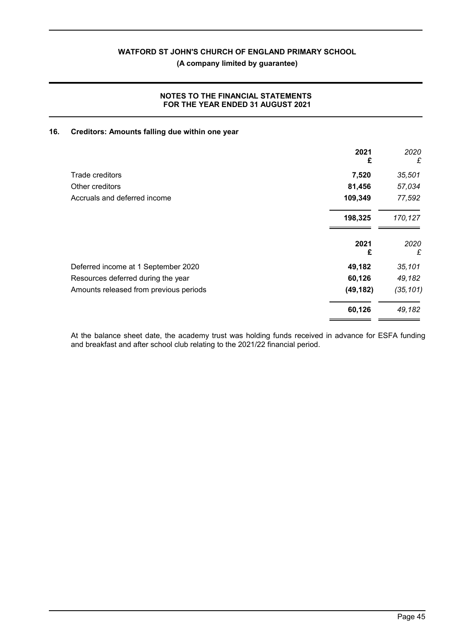### **NOTES TO THE FINANCIAL STATEMENTS FOR THE YEAR ENDED 31 AUGUST 2021**

#### **16. Creditors: Amounts falling due within one year**

| 2021<br>£ | 2020<br>£ |
|-----------|-----------|
| 7,520     | 35,501    |
| 81,456    | 57,034    |
| 109,349   | 77,592    |
| 198,325   | 170,127   |
| 2021<br>£ | 2020<br>£ |
| 49,182    | 35,101    |
| 60,126    | 49,182    |
| (49, 182) | (35, 101) |
| 60,126    | 49,182    |
|           |           |

At the balance sheet date, the academy trust was holding funds received in advance for ESFA funding and breakfast and after school club relating to the 2021/22 financial period.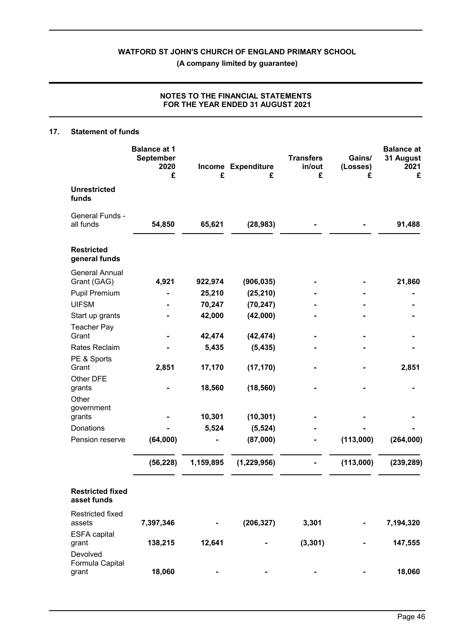## **NOTES TO THE FINANCIAL STATEMENTS FOR THE YEAR ENDED 31 AUGUST 2021**

## **17. Statement of funds**

|                                        | <b>Balance at 1</b><br>September<br>2020<br>£ | £         | Income Expenditure<br>£ | <b>Transfers</b><br>in/out<br>£ | Gains/<br>(Losses)<br>£ | <b>Balance at</b><br>31 August<br>2021<br>£ |
|----------------------------------------|-----------------------------------------------|-----------|-------------------------|---------------------------------|-------------------------|---------------------------------------------|
| <b>Unrestricted</b><br>funds           |                                               |           |                         |                                 |                         |                                             |
| General Funds -<br>all funds           | 54,850                                        | 65,621    | (28, 983)               |                                 |                         | 91,488                                      |
| <b>Restricted</b><br>general funds     |                                               |           |                         |                                 |                         |                                             |
| <b>General Annual</b><br>Grant (GAG)   | 4,921                                         | 922,974   | (906, 035)              |                                 |                         | 21,860                                      |
| Pupil Premium                          |                                               | 25,210    | (25, 210)               |                                 |                         |                                             |
| <b>UIFSM</b>                           |                                               | 70,247    | (70, 247)               |                                 |                         |                                             |
| Start up grants                        |                                               | 42,000    | (42,000)                |                                 |                         |                                             |
| <b>Teacher Pay</b>                     |                                               |           |                         |                                 |                         |                                             |
| Grant                                  |                                               | 42,474    | (42, 474)               |                                 |                         |                                             |
| Rates Reclaim                          |                                               | 5,435     | (5, 435)                |                                 |                         |                                             |
| PE & Sports<br>Grant                   | 2,851                                         | 17,170    | (17, 170)               |                                 |                         | 2,851                                       |
| Other DFE                              |                                               |           |                         |                                 |                         |                                             |
| grants                                 |                                               | 18,560    | (18, 560)               |                                 |                         |                                             |
| Other                                  |                                               |           |                         |                                 |                         |                                             |
| government<br>grants                   |                                               | 10,301    | (10, 301)               |                                 |                         |                                             |
| Donations                              |                                               | 5,524     | (5, 524)                |                                 |                         |                                             |
| Pension reserve                        | (64,000)                                      |           | (87,000)                |                                 | (113,000)               | (264,000)                                   |
|                                        | (56, 228)                                     | 1,159,895 | (1, 229, 956)           |                                 | (113,000)               | (239, 289)                                  |
| <b>Restricted fixed</b><br>asset funds |                                               |           |                         |                                 |                         |                                             |
| Restricted fixed<br>assets             | 7,397,346                                     |           | (206, 327)              | 3,301                           |                         | 7,194,320                                   |
| <b>ESFA</b> capital<br>grant           | 138,215                                       | 12,641    |                         | (3, 301)                        |                         | 147,555                                     |
| Devolved<br>Formula Capital<br>grant   | 18,060                                        |           |                         |                                 |                         | 18,060                                      |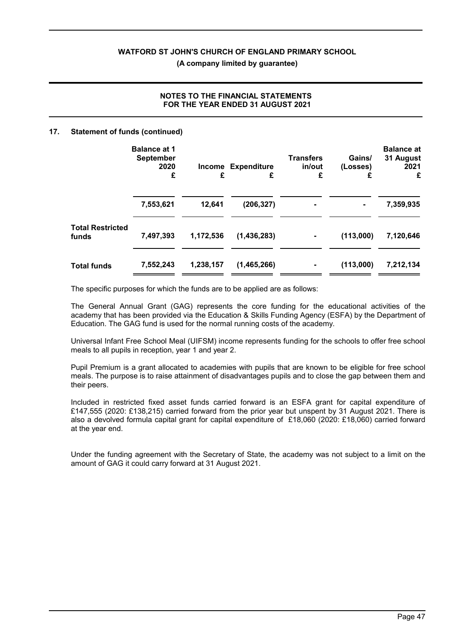## **NOTES TO THE FINANCIAL STATEMENTS FOR THE YEAR ENDED 31 AUGUST 2021**

#### **17. Statement of funds (continued)**

|                                  | <b>Balance at 1</b><br><b>September</b><br>2020<br>£ | £         | <b>Income Expenditure</b><br>£ | <b>Transfers</b><br>in/out<br>£ | Gains/<br>(Losses)<br>£ | <b>Balance at</b><br>31 August<br>2021<br>£ |
|----------------------------------|------------------------------------------------------|-----------|--------------------------------|---------------------------------|-------------------------|---------------------------------------------|
|                                  | 7,553,621                                            | 12,641    | (206, 327)                     |                                 | $\blacksquare$          | 7,359,935                                   |
| <b>Total Restricted</b><br>funds | 7,497,393                                            | 1,172,536 | (1,436,283)                    |                                 | (113,000)               | 7,120,646                                   |
| <b>Total funds</b>               | 7,552,243                                            | 1,238,157 | (1,465,266)                    |                                 | (113,000)               | 7,212,134                                   |

The specific purposes for which the funds are to be applied are as follows:

The General Annual Grant (GAG) represents the core funding for the educational activities of the academy that has been provided via the Education & Skills Funding Agency (ESFA) by the Department of Education. The GAG fund is used for the normal running costs of the academy.

Universal Infant Free School Meal (UIFSM) income represents funding for the schools to offer free school meals to all pupils in reception, year 1 and year 2.

Pupil Premium is a grant allocated to academies with pupils that are known to be eligible for free school meals. The purpose is to raise attainment of disadvantages pupils and to close the gap between them and their peers.

Included in restricted fixed asset funds carried forward is an ESFA grant for capital expenditure of £147,555 (2020: £138,215) carried forward from the prior year but unspent by 31 August 2021. There is also a devolved formula capital grant for capital expenditure of £18,060 (2020: £18,060) carried forward at the year end.

Under the funding agreement with the Secretary of State, the academy was not subject to a limit on the amount of GAG it could carry forward at 31 August 2021.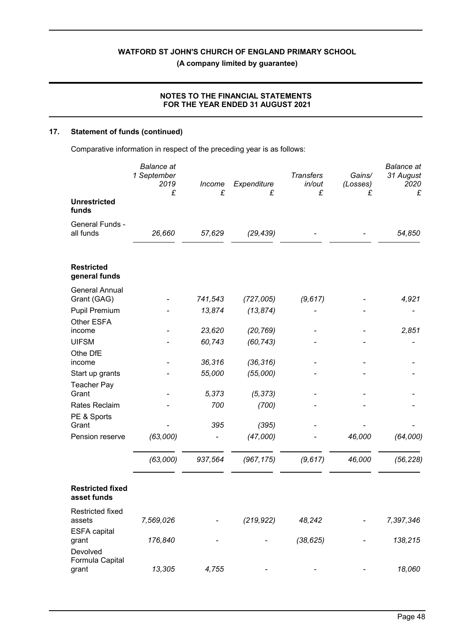**(A company limited by guarantee)**

## **NOTES TO THE FINANCIAL STATEMENTS FOR THE YEAR ENDED 31 AUGUST 2021**

## **17. Statement of funds (continued)**

Comparative information in respect of the preceding year is as follows:

|                                        | <b>Balance</b> at<br>1 September<br>2019<br>£ | Income<br>£ | Expenditure<br>£ | <b>Transfers</b><br>in/out<br>£ | Gains/<br>(Losses)<br>£ | <b>Balance</b> at<br>31 August<br>2020<br>£ |
|----------------------------------------|-----------------------------------------------|-------------|------------------|---------------------------------|-------------------------|---------------------------------------------|
| <b>Unrestricted</b><br>funds           |                                               |             |                  |                                 |                         |                                             |
| General Funds -<br>all funds           | 26,660                                        | 57,629      | (29, 439)        |                                 |                         | 54,850                                      |
| <b>Restricted</b><br>general funds     |                                               |             |                  |                                 |                         |                                             |
| <b>General Annual</b><br>Grant (GAG)   |                                               | 741,543     | (727,005)        | (9, 617)                        |                         | 4,921                                       |
| <b>Pupil Premium</b>                   |                                               | 13,874      | (13, 874)        |                                 |                         |                                             |
| Other ESFA<br>income                   |                                               | 23,620      | (20, 769)        |                                 |                         | 2,851                                       |
| <b>UIFSM</b>                           |                                               | 60,743      | (60, 743)        |                                 |                         |                                             |
| Othe DfE<br>income                     |                                               | 36,316      | (36, 316)        |                                 |                         |                                             |
| Start up grants                        |                                               | 55,000      | (55,000)         |                                 |                         |                                             |
| <b>Teacher Pay</b>                     |                                               |             |                  |                                 |                         |                                             |
| Grant                                  |                                               | 5,373       | (5, 373)         |                                 |                         |                                             |
| Rates Reclaim<br>PE & Sports           |                                               | 700         | (700)            |                                 |                         |                                             |
| Grant                                  |                                               | 395         | (395)            |                                 |                         |                                             |
| Pension reserve                        | (63,000)                                      |             | (47,000)         |                                 | 46,000                  | (64,000)                                    |
|                                        | (63,000)                                      | 937,564     | (967, 175)       | (9,617)                         | 46,000                  | (56, 228)                                   |
| <b>Restricted fixed</b><br>asset funds |                                               |             |                  |                                 |                         |                                             |
| Restricted fixed<br>assets             | 7,569,026                                     |             | (219, 922)       | 48,242                          |                         | 7,397,346                                   |
| <b>ESFA</b> capital                    |                                               |             |                  |                                 |                         |                                             |
| grant<br>Devolved                      | 176,840                                       |             |                  | (38, 625)                       |                         | 138,215                                     |
| Formula Capital<br>grant               | 13,305                                        | 4,755       |                  |                                 |                         | 18,060                                      |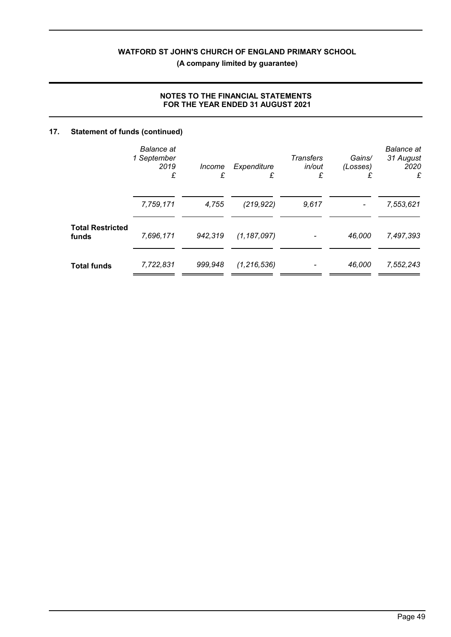## **NOTES TO THE FINANCIAL STATEMENTS FOR THE YEAR ENDED 31 AUGUST 2021**

## **17. Statement of funds (continued)**

|                                  | <b>Balance</b> at<br>1 September<br>2019<br>£ | Income<br>£ | Expenditure<br>£ | <b>Transfers</b><br>in/out<br>£ | Gains/<br>(Losses)<br>£ | <b>Balance</b> at<br>31 August<br>2020<br>£ |
|----------------------------------|-----------------------------------------------|-------------|------------------|---------------------------------|-------------------------|---------------------------------------------|
|                                  | 7,759,171                                     | 4,755       | (219, 922)       | 9,617                           |                         | 7,553,621                                   |
| <b>Total Restricted</b><br>funds | 7,696,171                                     | 942,319     | (1, 187, 097)    |                                 | 46,000                  | 7,497,393                                   |
| <b>Total funds</b>               | 7,722,831                                     | 999.948     | (1, 216, 536)    |                                 | 46.000                  | 7,552,243                                   |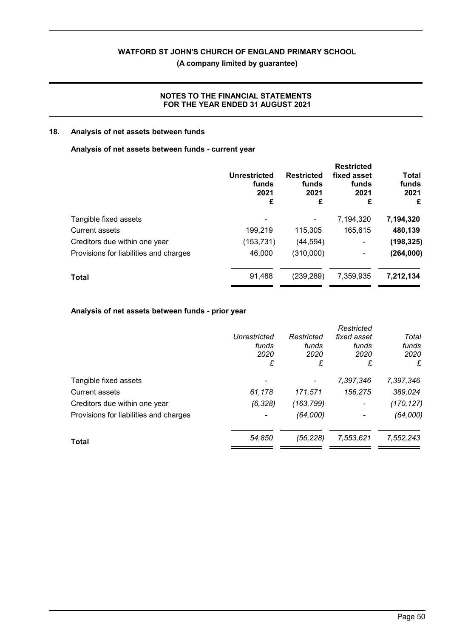**(A company limited by guarantee)**

## **NOTES TO THE FINANCIAL STATEMENTS FOR THE YEAR ENDED 31 AUGUST 2021**

#### **18. Analysis of net assets between funds**

#### **Analysis of net assets between funds - current year**

|                                        | Unrestricted<br>funds<br>2021<br>£ | <b>Restricted</b><br>funds<br>2021<br>£ | <b>Restricted</b><br>fixed asset<br>funds<br>2021<br>£ | <b>Total</b><br>funds<br>2021<br>£ |
|----------------------------------------|------------------------------------|-----------------------------------------|--------------------------------------------------------|------------------------------------|
| Tangible fixed assets                  |                                    |                                         | 7,194,320                                              | 7,194,320                          |
| <b>Current assets</b>                  | 199,219                            | 115,305                                 | 165,615                                                | 480,139                            |
| Creditors due within one year          | (153,731)                          | (44, 594)                               | $\blacksquare$                                         | (198, 325)                         |
| Provisions for liabilities and charges | 46,000                             | (310,000)                               | $\blacksquare$                                         | (264,000)                          |
| <b>Total</b>                           | 91,488                             | (239, 289)                              | 7,359,935                                              | 7,212,134                          |

## **Analysis of net assets between funds - prior year**

|                                        |              |            | Restricted               |            |
|----------------------------------------|--------------|------------|--------------------------|------------|
|                                        | Unrestricted | Restricted | fixed asset              | Total      |
|                                        | funds        | funds      | funds                    | funds      |
|                                        | 2020         | 2020       | 2020                     | 2020       |
|                                        | £            | £          | £                        | £          |
| Tangible fixed assets                  |              |            | 7,397,346                | 7,397,346  |
| <b>Current assets</b>                  | 61,178       | 171,571    | 156,275                  | 389,024    |
| Creditors due within one year          | (6, 328)     | (163, 799) | $\overline{\phantom{a}}$ | (170, 127) |
| Provisions for liabilities and charges |              | (64,000)   |                          | (64,000)   |
| Total                                  | 54,850       | (56,228)   | 7,553,621                | 7,552,243  |
|                                        |              |            |                          |            |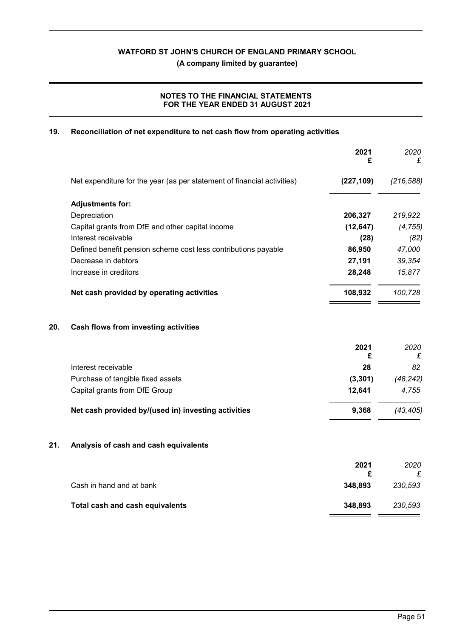**(A company limited by guarantee)**

## **NOTES TO THE FINANCIAL STATEMENTS FOR THE YEAR ENDED 31 AUGUST 2021**

## **19. Reconciliation of net expenditure to net cash flow from operating activities**

|     |                                                                         | 2021<br>£  | 2020<br>£  |
|-----|-------------------------------------------------------------------------|------------|------------|
|     | Net expenditure for the year (as per statement of financial activities) | (227, 109) | (216, 588) |
|     | <b>Adjustments for:</b>                                                 |            |            |
|     | Depreciation                                                            | 206,327    | 219,922    |
|     | Capital grants from DfE and other capital income                        | (12, 647)  | (4, 755)   |
|     | Interest receivable                                                     | (28)       | (82)       |
|     | Defined benefit pension scheme cost less contributions payable          | 86,950     | 47,000     |
|     | Decrease in debtors                                                     | 27,191     | 39,354     |
|     | Increase in creditors                                                   | 28,248     | 15,877     |
|     | Net cash provided by operating activities                               | 108,932    | 100,728    |
| 20. | Cash flows from investing activities                                    |            |            |
|     |                                                                         | 2021<br>£  | 2020<br>£  |
|     | Interest receivable                                                     | 28         | 82         |
|     | Purchase of tangible fixed assets                                       | (3, 301)   | (48, 242)  |
|     | Capital grants from DfE Group                                           | 12,641     | 4,755      |
|     | Net cash provided by/(used in) investing activities                     | 9,368      | (43, 405)  |
| 21. | Analysis of cash and cash equivalents                                   |            |            |
|     |                                                                         | 2021<br>£  | 2020<br>£  |
|     | Cash in hand and at bank                                                | 348,893    | 230,593    |
|     | <b>Total cash and cash equivalents</b>                                  | 348,893    | 230,593    |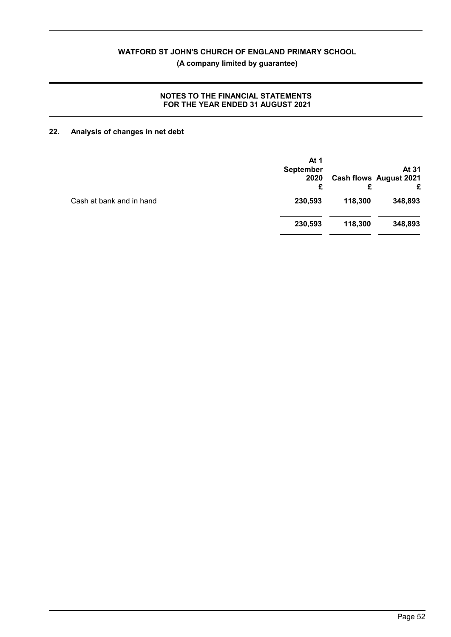## **NOTES TO THE FINANCIAL STATEMENTS FOR THE YEAR ENDED 31 AUGUST 2021**

## **22. Analysis of changes in net debt**

|                          | At 1<br><b>September</b><br>2020<br>£ |         | At 31<br><b>Cash flows August 2021</b> |
|--------------------------|---------------------------------------|---------|----------------------------------------|
| Cash at bank and in hand | 230,593                               | 118,300 | 348,893                                |
|                          | 230,593                               | 118,300 | 348,893                                |
|                          |                                       |         |                                        |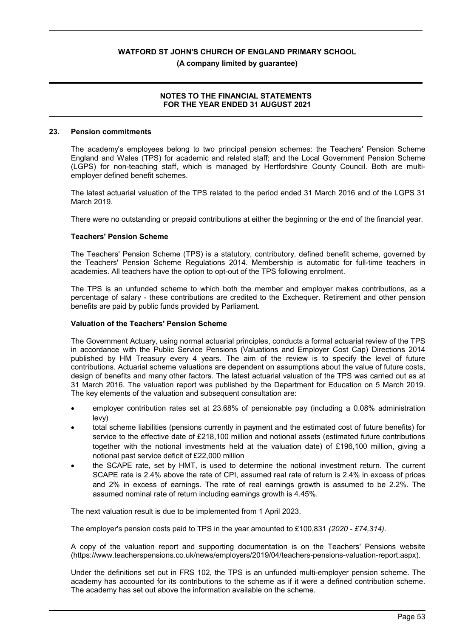#### **NOTES TO THE FINANCIAL STATEMENTS FOR THE YEAR ENDED 31 AUGUST 2021**

#### **23. Pension commitments**

The academy's employees belong to two principal pension schemes: the Teachers' Pension Scheme England and Wales (TPS) for academic and related staff; and the Local Government Pension Scheme (LGPS) for non-teaching staff, which is managed by Hertfordshire County Council. Both are multiemployer defined benefit schemes.

The latest actuarial valuation of the TPS related to the period ended 31 March 2016 and of the LGPS 31 March 2019.

There were no outstanding or prepaid contributions at either the beginning or the end of the financial year.

#### **Teachers' Pension Scheme**

The Teachers' Pension Scheme (TPS) is a statutory, contributory, defined benefit scheme, governed by the Teachers' Pension Scheme Regulations 2014. Membership is automatic for full-time teachers in academies. All teachers have the option to opt-out of the TPS following enrolment.

The TPS is an unfunded scheme to which both the member and employer makes contributions, as a percentage of salary - these contributions are credited to the Exchequer. Retirement and other pension benefits are paid by public funds provided by Parliament.

#### **Valuation of the Teachers' Pension Scheme**

The Government Actuary, using normal actuarial principles, conducts a formal actuarial review of the TPS in accordance with the Public Service Pensions (Valuations and Employer Cost Cap) Directions 2014 published by HM Treasury every 4 years. The aim of the review is to specify the level of future contributions. Actuarial scheme valuations are dependent on assumptions about the value of future costs, design of benefits and many other factors. The latest actuarial valuation of the TPS was carried out as at 31 March 2016. The valuation report was published by the Department for Education on 5 March 2019. The key elements of the valuation and subsequent consultation are:

- employer contribution rates set at 23.68% of pensionable pay (including a 0.08% administration levy)
- total scheme liabilities (pensions currently in payment and the estimated cost of future benefits) for service to the effective date of £218,100 million and notional assets (estimated future contributions together with the notional investments held at the valuation date) of £196,100 million, giving a notional past service deficit of £22,000 million
- the SCAPE rate, set by HMT, is used to determine the notional investment return. The current SCAPE rate is 2.4% above the rate of CPI, assumed real rate of return is 2.4% in excess of prices and 2% in excess of earnings. The rate of real earnings growth is assumed to be 2.2%. The assumed nominal rate of return including earnings growth is 4.45%.

The next valuation result is due to be implemented from 1 April 2023.

The employer's pension costs paid to TPS in the year amounted to £100,831 *(2020 - £74,314)*.

A copy of the valuation report and supporting documentation is on the Teachers' Pensions website (https://www.teacherspensions.co.uk/news/employers/2019/04/teachers-pensions-valuation-report.aspx).

Under the definitions set out in FRS 102, the TPS is an unfunded multi-employer pension scheme. The academy has accounted for its contributions to the scheme as if it were a defined contribution scheme. The academy has set out above the information available on the scheme.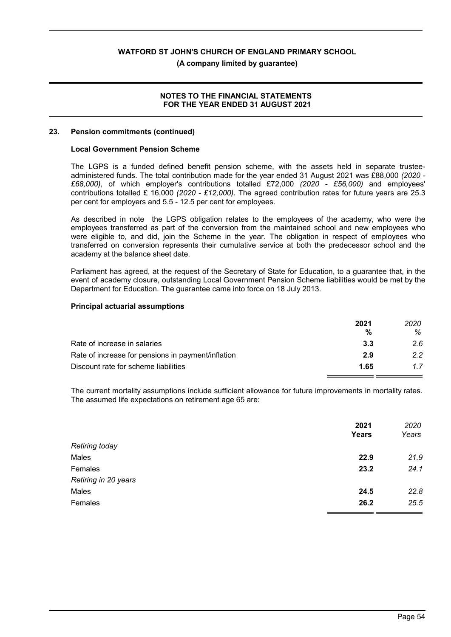#### **(A company limited by guarantee)**

#### **NOTES TO THE FINANCIAL STATEMENTS FOR THE YEAR ENDED 31 AUGUST 2021**

#### **23. Pension commitments (continued)**

#### **Local Government Pension Scheme**

The LGPS is a funded defined benefit pension scheme, with the assets held in separate trusteeadministered funds. The total contribution made for the year ended 31 August 2021 was £88,000 *(2020 - £68,000)*, of which employer's contributions totalled £72,000 *(2020 - £56,000)* and employees' contributions totalled £ 16,000 *(2020 - £12,000)*. The agreed contribution rates for future years are 25.3 per cent for employers and 5.5 - 12.5 per cent for employees.

As described in note the LGPS obligation relates to the employees of the academy, who were the employees transferred as part of the conversion from the maintained school and new employees who were eligible to, and did, join the Scheme in the year. The obligation in respect of employees who transferred on conversion represents their cumulative service at both the predecessor school and the academy at the balance sheet date.

Parliament has agreed, at the request of the Secretary of State for Education, to a guarantee that, in the event of academy closure, outstanding Local Government Pension Scheme liabilities would be met by the Department for Education. The guarantee came into force on 18 July 2013.

#### **Principal actuarial assumptions**

|                                                    | 2021 | 2020 |
|----------------------------------------------------|------|------|
|                                                    | %    | ℅    |
| Rate of increase in salaries                       | 3.3  | 2.6  |
| Rate of increase for pensions in payment/inflation | 2.9  | 2.2  |
| Discount rate for scheme liabilities               | 1.65 | 17   |

The current mortality assumptions include sufficient allowance for future improvements in mortality rates. The assumed life expectations on retirement age 65 are:

|                       | 2021  | 2020<br>Years |
|-----------------------|-------|---------------|
|                       | Years |               |
| <b>Retiring today</b> |       |               |
| Males                 | 22.9  | 21.9          |
| Females               | 23.2  | 24.1          |
| Retiring in 20 years  |       |               |
| Males                 | 24.5  | 22.8          |
| Females               | 26.2  | 25.5          |
|                       |       |               |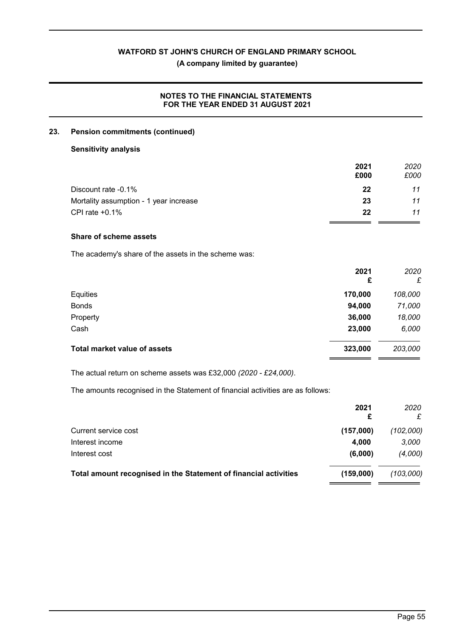## **(A company limited by guarantee)**

### **NOTES TO THE FINANCIAL STATEMENTS FOR THE YEAR ENDED 31 AUGUST 2021**

#### **23. Pension commitments (continued)**

#### **Sensitivity analysis**

|                                        | 2021 | 2020 |
|----------------------------------------|------|------|
|                                        | £000 | £000 |
| Discount rate -0.1%                    | 22   | 11   |
| Mortality assumption - 1 year increase | 23   | 11   |
| CPI rate +0.1%                         | 22   | 11   |

## **Share of scheme assets**

The academy's share of the assets in the scheme was:

|                                     | 2021<br>£ | 2020<br>£ |
|-------------------------------------|-----------|-----------|
| Equities                            | 170,000   | 108,000   |
| <b>Bonds</b>                        | 94,000    | 71,000    |
| Property                            | 36,000    | 18,000    |
| Cash                                | 23,000    | 6,000     |
| <b>Total market value of assets</b> | 323,000   | 203,000   |
|                                     |           |           |

The actual return on scheme assets was £32,000 *(2020 - £24,000)*.

The amounts recognised in the Statement of financial activities are as follows:

|                                                                  | 2021<br>£ | 2020<br>£ |
|------------------------------------------------------------------|-----------|-----------|
| Current service cost                                             | (157,000) | (102,000) |
| Interest income                                                  | 4.000     | 3,000     |
| Interest cost                                                    | (6,000)   | (4,000)   |
| Total amount recognised in the Statement of financial activities | (159.000) | (103,000) |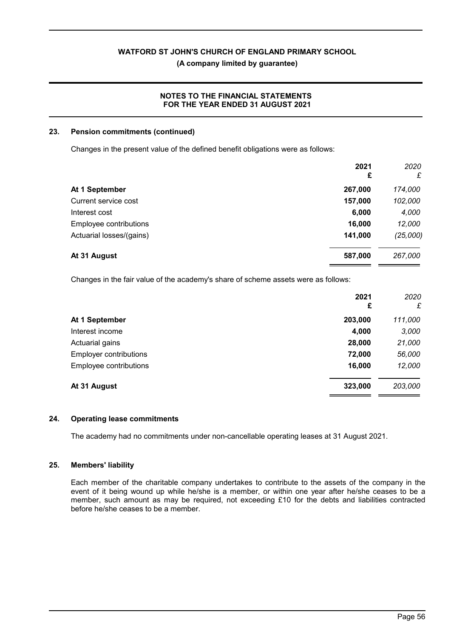**(A company limited by guarantee)**

#### **NOTES TO THE FINANCIAL STATEMENTS FOR THE YEAR ENDED 31 AUGUST 2021**

#### **23. Pension commitments (continued)**

Changes in the present value of the defined benefit obligations were as follows:

| 2021<br>£ | 2020<br>£ |
|-----------|-----------|
| 267,000   | 174,000   |
| 157,000   | 102,000   |
| 6,000     | 4,000     |
| 16,000    | 12,000    |
| 141,000   | (25,000)  |
| 587,000   | 267,000   |
|           |           |

Changes in the fair value of the academy's share of scheme assets were as follows:

|                               | 2021<br>£ | 2020<br>£ |
|-------------------------------|-----------|-----------|
| At 1 September                | 203,000   | 111,000   |
| Interest income               | 4,000     | 3,000     |
| Actuarial gains               | 28,000    | 21,000    |
| <b>Employer contributions</b> | 72,000    | 56,000    |
| Employee contributions        | 16,000    | 12,000    |
| At 31 August                  | 323,000   | 203,000   |

#### **24. Operating lease commitments**

The academy had no commitments under non-cancellable operating leases at 31 August 2021.

#### **25. Members' liability**

Each member of the charitable company undertakes to contribute to the assets of the company in the event of it being wound up while he/she is a member, or within one year after he/she ceases to be a member, such amount as may be required, not exceeding £10 for the debts and liabilities contracted before he/she ceases to be a member.